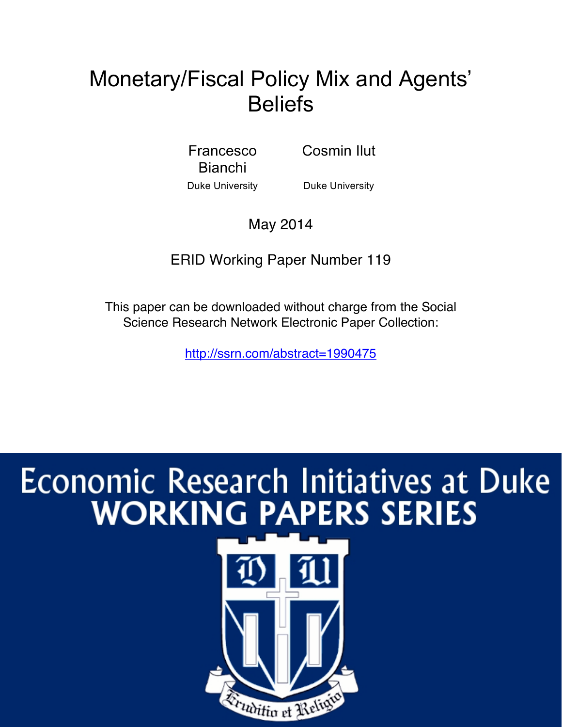## Monetary/Fiscal Policy Mix and Agents' **Beliefs**

Francesco Bianchi

Cosmin Ilut

Duke University **Duke University** 

May 2014

ERID Working Paper Number 119

This paper can be downloaded without charge from the Social Science Research Network Electronic Paper Collection:

http://ssrn.com/abstract=1990475

# Economic Research Initiatives at Duke **WORKING PAPERS SERIES**

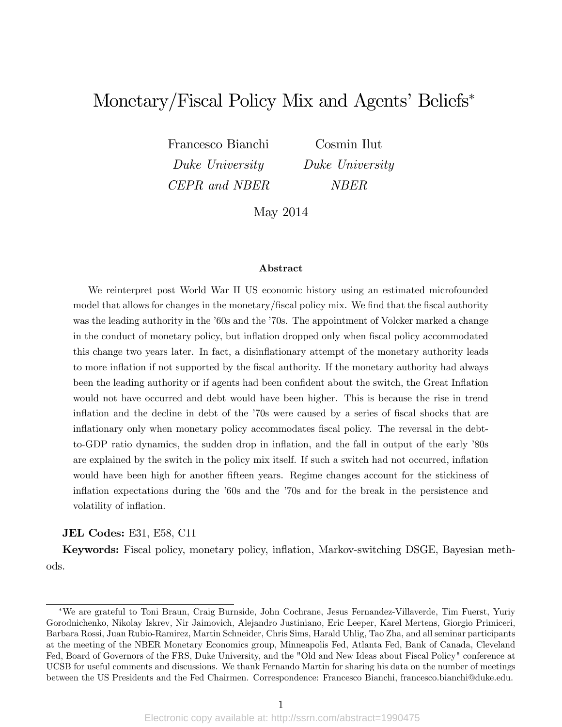## Monetary/Fiscal Policy Mix and Agents' Beliefs<sup>\*</sup>

Francesco Bianchi Cosmin Ilut Duke University Duke University CEPR and NBER NBER

May 2014

#### Abstract

We reinterpret post World War II US economic history using an estimated microfounded model that allows for changes in the monetary/fiscal policy mix. We find that the fiscal authority was the leading authority in the '60s and the '70s. The appointment of Volcker marked a change in the conduct of monetary policy, but inflation dropped only when fiscal policy accommodated this change two years later. In fact, a disinflationary attempt of the monetary authority leads to more inflation if not supported by the fiscal authority. If the monetary authority had always been the leading authority or if agents had been confident about the switch, the Great Inflation would not have occurred and debt would have been higher. This is because the rise in trend inflation and the decline in debt of the '70s were caused by a series of fiscal shocks that are inflationary only when monetary policy accommodates fiscal policy. The reversal in the debtto-GDP ratio dynamics, the sudden drop in inflation, and the fall in output of the early '80s are explained by the switch in the policy mix itself. If such a switch had not occurred, inflation would have been high for another fifteen years. Regime changes account for the stickiness of inflation expectations during the  $60s$  and the  $70s$  and for the break in the persistence and volatility of inflation.

JEL Codes: E31, E58, C11

Keywords: Fiscal policy, monetary policy, ináation, Markov-switching DSGE, Bayesian methods.

We are grateful to Toni Braun, Craig Burnside, John Cochrane, Jesus Fernandez-Villaverde, Tim Fuerst, Yuriy Gorodnichenko, Nikolay Iskrev, Nir Jaimovich, Alejandro Justiniano, Eric Leeper, Karel Mertens, Giorgio Primiceri, Barbara Rossi, Juan Rubio-Ramirez, Martin Schneider, Chris Sims, Harald Uhlig, Tao Zha, and all seminar participants at the meeting of the NBER Monetary Economics group, Minneapolis Fed, Atlanta Fed, Bank of Canada, Cleveland Fed, Board of Governors of the FRS, Duke University, and the "Old and New Ideas about Fiscal Policy" conference at UCSB for useful comments and discussions. We thank Fernando Martin for sharing his data on the number of meetings between the US Presidents and the Fed Chairmen. Correspondence: Francesco Bianchi, francesco.bianchi@duke.edu.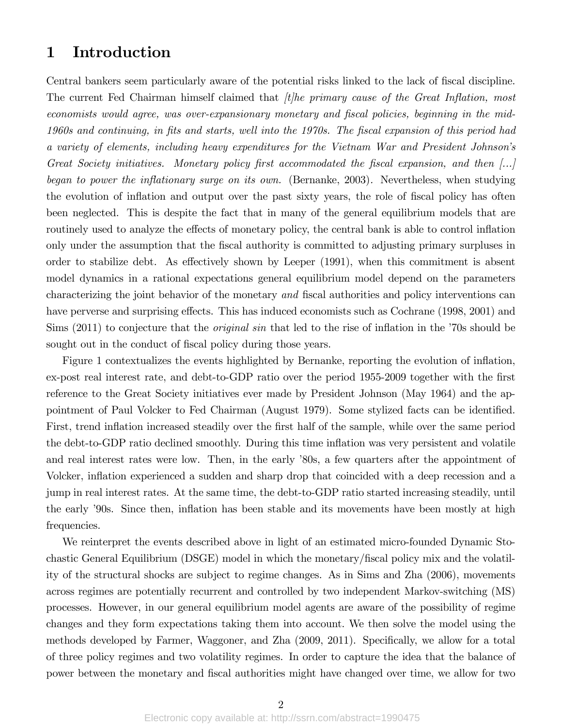## 1 Introduction

Central bankers seem particularly aware of the potential risks linked to the lack of fiscal discipline. The current Fed Chairman himself claimed that  $\hat{t}$ the primary cause of the Great Inflation, most economists would agree, was over-expansionary monetary and fiscal policies, beginning in the mid-1960s and continuing, in Öts and starts, well into the 1970s. The Öscal expansion of this period had a variety of elements, including heavy expenditures for the Vietnam War and President Johnsonís Great Society initiatives. Monetary policy first accommodated the fiscal expansion, and then  $\left[\ldots\right]$ began to power the inflationary surge on its own. (Bernanke, 2003). Nevertheless, when studying the evolution of inflation and output over the past sixty years, the role of fiscal policy has often been neglected. This is despite the fact that in many of the general equilibrium models that are routinely used to analyze the effects of monetary policy, the central bank is able to control inflation only under the assumption that the Öscal authority is committed to adjusting primary surpluses in order to stabilize debt. As effectively shown by Leeper  $(1991)$ , when this commitment is absent model dynamics in a rational expectations general equilibrium model depend on the parameters characterizing the joint behavior of the monetary and fiscal authorities and policy interventions can have perverse and surprising effects. This has induced economists such as Cochrane (1998, 2001) and Sims  $(2011)$  to conjecture that the *original sin* that led to the rise of inflation in the  $\dot{70s}$  should be sought out in the conduct of fiscal policy during those years.

Figure 1 contextualizes the events highlighted by Bernanke, reporting the evolution of inflation, ex-post real interest rate, and debt-to-GDP ratio over the period 1955-2009 together with the first reference to the Great Society initiatives ever made by President Johnson (May 1964) and the appointment of Paul Volcker to Fed Chairman (August 1979). Some stylized facts can be identified. First, trend inflation increased steadily over the first half of the sample, while over the same period the debt-to-GDP ratio declined smoothly. During this time inflation was very persistent and volatile and real interest rates were low. Then, in the early '80s, a few quarters after the appointment of Volcker, inflation experienced a sudden and sharp drop that coincided with a deep recession and a jump in real interest rates. At the same time, the debt-to-GDP ratio started increasing steadily, until the early '90s. Since then, inflation has been stable and its movements have been mostly at high frequencies.

We reinterpret the events described above in light of an estimated micro-founded Dynamic Stochastic General Equilibrium (DSGE) model in which the monetary/Öscal policy mix and the volatility of the structural shocks are subject to regime changes. As in Sims and Zha (2006), movements across regimes are potentially recurrent and controlled by two independent Markov-switching (MS) processes. However, in our general equilibrium model agents are aware of the possibility of regime changes and they form expectations taking them into account. We then solve the model using the methods developed by Farmer, Waggoner, and Zha (2009, 2011). Specifically, we allow for a total of three policy regimes and two volatility regimes. In order to capture the idea that the balance of power between the monetary and Öscal authorities might have changed over time, we allow for two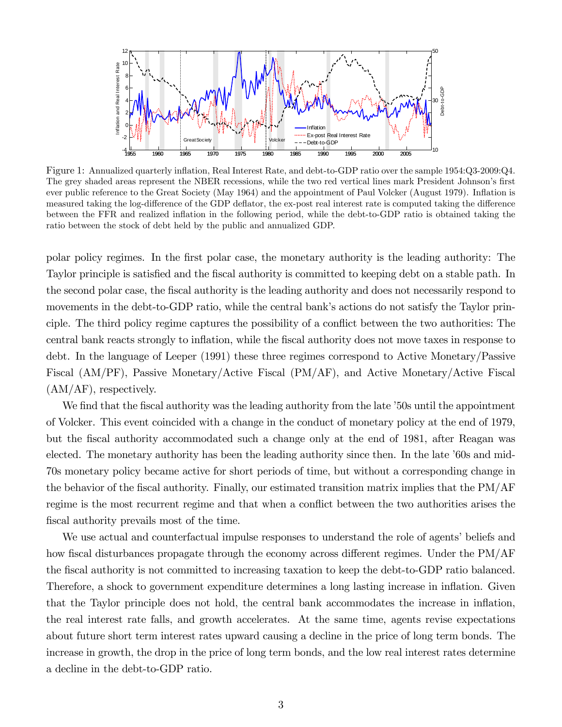

Figure 1: Annualized quarterly ináation, Real Interest Rate, and debt-to-GDP ratio over the sample 1954:Q3-2009:Q4. The grey shaded areas represent the NBER recessions, while the two red vertical lines mark President Johnson's first ever public reference to the Great Society (May 1964) and the appointment of Paul Volcker (August 1979). Ináation is measured taking the log-difference of the GDP deflator, the ex-post real interest rate is computed taking the difference between the FFR and realized inflation in the following period, while the debt-to-GDP ratio is obtained taking the ratio between the stock of debt held by the public and annualized GDP.

polar policy regimes. In the Örst polar case, the monetary authority is the leading authority: The Taylor principle is satisfied and the fiscal authority is committed to keeping debt on a stable path. In the second polar case, the Öscal authority is the leading authority and does not necessarily respond to movements in the debt-to-GDP ratio, while the central bank's actions do not satisfy the Taylor principle. The third policy regime captures the possibility of a conflict between the two authorities: The central bank reacts strongly to inflation, while the fiscal authority does not move taxes in response to debt. In the language of Leeper (1991) these three regimes correspond to Active Monetary/Passive Fiscal (AM/PF), Passive Monetary/Active Fiscal (PM/AF), and Active Monetary/Active Fiscal (AM/AF), respectively.

We find that the fiscal authority was the leading authority from the late '50s until the appointment of Volcker. This event coincided with a change in the conduct of monetary policy at the end of 1979, but the Öscal authority accommodated such a change only at the end of 1981, after Reagan was elected. The monetary authority has been the leading authority since then. In the late '60s and mid-70s monetary policy became active for short periods of time, but without a corresponding change in the behavior of the Öscal authority. Finally, our estimated transition matrix implies that the PM/AF regime is the most recurrent regime and that when a conflict between the two authorities arises the fiscal authority prevails most of the time.

We use actual and counterfactual impulse responses to understand the role of agents' beliefs and how fiscal disturbances propagate through the economy across different regimes. Under the  $PM/AF$ the fiscal authority is not committed to increasing taxation to keep the debt-to-GDP ratio balanced. Therefore, a shock to government expenditure determines a long lasting increase in inflation. Given that the Taylor principle does not hold, the central bank accommodates the increase in ináation, the real interest rate falls, and growth accelerates. At the same time, agents revise expectations about future short term interest rates upward causing a decline in the price of long term bonds. The increase in growth, the drop in the price of long term bonds, and the low real interest rates determine a decline in the debt-to-GDP ratio.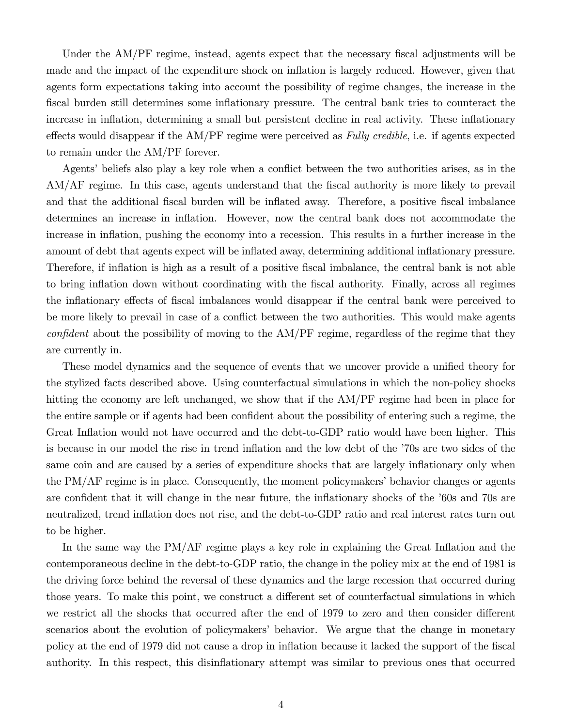Under the AM/PF regime, instead, agents expect that the necessary fiscal adjustments will be made and the impact of the expenditure shock on inflation is largely reduced. However, given that agents form expectations taking into account the possibility of regime changes, the increase in the Öscal burden still determines some ináationary pressure. The central bank tries to counteract the increase in inflation, determining a small but persistent decline in real activity. These inflationary effects would disappear if the  $AM/PF$  regime were perceived as Fully credible, i.e. if agents expected to remain under the AM/PF forever.

Agents' beliefs also play a key role when a conflict between the two authorities arises, as in the AM/AF regime. In this case, agents understand that the fiscal authority is more likely to prevail and that the additional fiscal burden will be inflated away. Therefore, a positive fiscal imbalance determines an increase in inflation. However, now the central bank does not accommodate the increase in inflation, pushing the economy into a recession. This results in a further increase in the amount of debt that agents expect will be inflated away, determining additional inflationary pressure. Therefore, if inflation is high as a result of a positive fiscal imbalance, the central bank is not able to bring inflation down without coordinating with the fiscal authority. Finally, across all regimes the inflationary effects of fiscal imbalances would disappear if the central bank were perceived to be more likely to prevail in case of a conflict between the two authorities. This would make agents  $confident$  about the possibility of moving to the  $AM/PF$  regime, regardless of the regime that they are currently in.

These model dynamics and the sequence of events that we uncover provide a unified theory for the stylized facts described above. Using counterfactual simulations in which the non-policy shocks hitting the economy are left unchanged, we show that if the AM/PF regime had been in place for the entire sample or if agents had been confident about the possibility of entering such a regime, the Great Inflation would not have occurred and the debt-to-GDP ratio would have been higher. This is because in our model the rise in trend inflation and the low debt of the '70s are two sides of the same coin and are caused by a series of expenditure shocks that are largely inflationary only when the  $PM/AF$  regime is in place. Consequently, the moment policymakers' behavior changes or agents are confident that it will change in the near future, the inflationary shocks of the '60s and 70s are neutralized, trend inflation does not rise, and the debt-to-GDP ratio and real interest rates turn out to be higher.

In the same way the  $PM/AF$  regime plays a key role in explaining the Great Inflation and the contemporaneous decline in the debt-to-GDP ratio, the change in the policy mix at the end of 1981 is the driving force behind the reversal of these dynamics and the large recession that occurred during those years. To make this point, we construct a different set of counterfactual simulations in which we restrict all the shocks that occurred after the end of 1979 to zero and then consider different scenarios about the evolution of policymakers' behavior. We argue that the change in monetary policy at the end of 1979 did not cause a drop in inflation because it lacked the support of the fiscal authority. In this respect, this disináationary attempt was similar to previous ones that occurred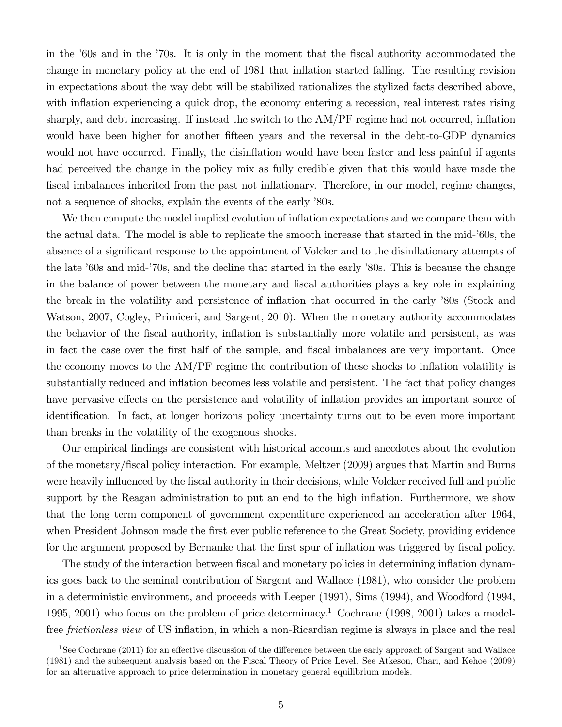in the '60s and in the '70s. It is only in the moment that the fiscal authority accommodated the change in monetary policy at the end of 1981 that ináation started falling. The resulting revision in expectations about the way debt will be stabilized rationalizes the stylized facts described above, with inflation experiencing a quick drop, the economy entering a recession, real interest rates rising sharply, and debt increasing. If instead the switch to the  $AM/PF$  regime had not occurred, inflation would have been higher for another fifteen years and the reversal in the debt-to-GDP dynamics would not have occurred. Finally, the disinflation would have been faster and less painful if agents had perceived the change in the policy mix as fully credible given that this would have made the fiscal imbalances inherited from the past not inflationary. Therefore, in our model, regime changes, not a sequence of shocks, explain the events of the early '80s.

We then compute the model implied evolution of inflation expectations and we compare them with the actual data. The model is able to replicate the smooth increase that started in the mid-í60s, the absence of a significant response to the appointment of Volcker and to the disinflationary attempts of the late '60s and mid-'70s, and the decline that started in the early '80s. This is because the change in the balance of power between the monetary and Öscal authorities plays a key role in explaining the break in the volatility and persistence of inflation that occurred in the early '80s (Stock and Watson, 2007, Cogley, Primiceri, and Sargent, 2010). When the monetary authority accommodates the behavior of the fiscal authority, inflation is substantially more volatile and persistent, as was in fact the case over the first half of the sample, and fiscal imbalances are very important. Once the economy moves to the  $AM/PF$  regime the contribution of these shocks to inflation volatility is substantially reduced and inflation becomes less volatile and persistent. The fact that policy changes have pervasive effects on the persistence and volatility of inflation provides an important source of identification. In fact, at longer horizons policy uncertainty turns out to be even more important than breaks in the volatility of the exogenous shocks.

Our empirical findings are consistent with historical accounts and anecdotes about the evolution of the monetary/Öscal policy interaction. For example, Meltzer (2009) argues that Martin and Burns were heavily influenced by the fiscal authority in their decisions, while Volcker received full and public support by the Reagan administration to put an end to the high inflation. Furthermore, we show that the long term component of government expenditure experienced an acceleration after 1964, when President Johnson made the first ever public reference to the Great Society, providing evidence for the argument proposed by Bernanke that the first spur of inflation was triggered by fiscal policy.

The study of the interaction between fiscal and monetary policies in determining inflation dynamics goes back to the seminal contribution of Sargent and Wallace (1981), who consider the problem in a deterministic environment, and proceeds with Leeper (1991), Sims (1994), and Woodford (1994, 1995, 2001) who focus on the problem of price determinacy.<sup>1</sup> Cochrane (1998, 2001) takes a modelfree *frictionless view* of US inflation, in which a non-Ricardian regime is always in place and the real

<sup>&</sup>lt;sup>1</sup>See Cochrane (2011) for an effective discussion of the difference between the early approach of Sargent and Wallace (1981) and the subsequent analysis based on the Fiscal Theory of Price Level. See Atkeson, Chari, and Kehoe (2009) for an alternative approach to price determination in monetary general equilibrium models.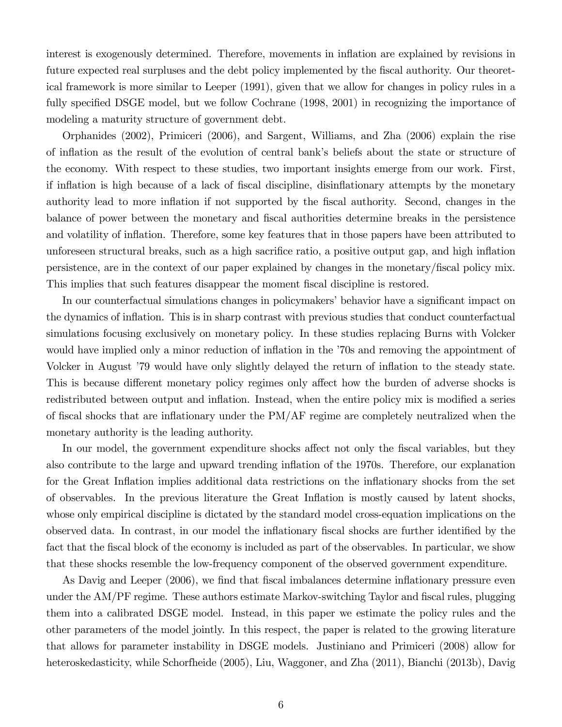interest is exogenously determined. Therefore, movements in inflation are explained by revisions in future expected real surpluses and the debt policy implemented by the fiscal authority. Our theoretical framework is more similar to Leeper (1991), given that we allow for changes in policy rules in a fully specified DSGE model, but we follow Cochrane (1998, 2001) in recognizing the importance of modeling a maturity structure of government debt.

Orphanides (2002), Primiceri (2006), and Sargent, Williams, and Zha (2006) explain the rise of ináation as the result of the evolution of central bankís beliefs about the state or structure of the economy. With respect to these studies, two important insights emerge from our work. First, if inflation is high because of a lack of fiscal discipline, disinflationary attempts by the monetary authority lead to more inflation if not supported by the fiscal authority. Second, changes in the balance of power between the monetary and Öscal authorities determine breaks in the persistence and volatility of inflation. Therefore, some key features that in those papers have been attributed to unforeseen structural breaks, such as a high sacrifice ratio, a positive output gap, and high inflation persistence, are in the context of our paper explained by changes in the monetary/Öscal policy mix. This implies that such features disappear the moment fiscal discipline is restored.

In our counterfactual simulations changes in policymakers' behavior have a significant impact on the dynamics of inflation. This is in sharp contrast with previous studies that conduct counterfactual simulations focusing exclusively on monetary policy. In these studies replacing Burns with Volcker would have implied only a minor reduction of inflation in the  $70s$  and removing the appointment of Volcker in August '79 would have only slightly delayed the return of inflation to the steady state. This is because different monetary policy regimes only affect how the burden of adverse shocks is redistributed between output and inflation. Instead, when the entire policy mix is modified a series of fiscal shocks that are inflationary under the PM/AF regime are completely neutralized when the monetary authority is the leading authority.

In our model, the government expenditure shocks affect not only the fiscal variables, but they also contribute to the large and upward trending ináation of the 1970s. Therefore, our explanation for the Great Inflation implies additional data restrictions on the inflationary shocks from the set of observables. In the previous literature the Great Ináation is mostly caused by latent shocks, whose only empirical discipline is dictated by the standard model cross-equation implications on the observed data. In contrast, in our model the inflationary fiscal shocks are further identified by the fact that the fiscal block of the economy is included as part of the observables. In particular, we show that these shocks resemble the low-frequency component of the observed government expenditure.

As Davig and Leeper (2006), we find that fiscal imbalances determine inflationary pressure even under the AM/PF regime. These authors estimate Markov-switching Taylor and fiscal rules, plugging them into a calibrated DSGE model. Instead, in this paper we estimate the policy rules and the other parameters of the model jointly. In this respect, the paper is related to the growing literature that allows for parameter instability in DSGE models. Justiniano and Primiceri (2008) allow for heteroskedasticity, while Schorfheide (2005), Liu, Waggoner, and Zha (2011), Bianchi (2013b), Davig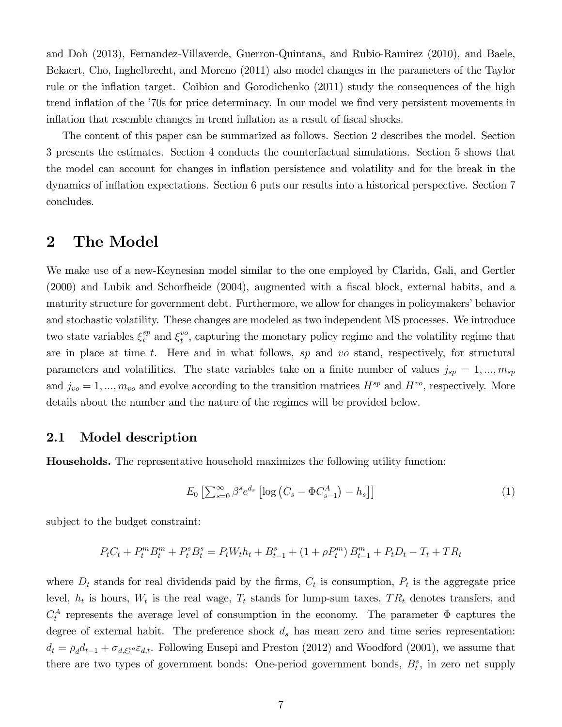and Doh (2013), Fernandez-Villaverde, Guerron-Quintana, and Rubio-Ramirez (2010), and Baele, Bekaert, Cho, Inghelbrecht, and Moreno (2011) also model changes in the parameters of the Taylor rule or the inflation target. Coibion and Gorodichenko (2011) study the consequences of the high trend inflation of the '70s for price determinacy. In our model we find very persistent movements in inflation that resemble changes in trend inflation as a result of fiscal shocks.

The content of this paper can be summarized as follows. Section 2 describes the model. Section 3 presents the estimates. Section 4 conducts the counterfactual simulations. Section 5 shows that the model can account for changes in ináation persistence and volatility and for the break in the dynamics of inflation expectations. Section 6 puts our results into a historical perspective. Section 7 concludes.

## 2 The Model

We make use of a new-Keynesian model similar to the one employed by Clarida, Gali, and Gertler  $(2000)$  and Lubik and Schorfheide  $(2004)$ , augmented with a fiscal block, external habits, and a maturity structure for government debt. Furthermore, we allow for changes in policymakers' behavior and stochastic volatility. These changes are modeled as two independent MS processes. We introduce two state variables  $\xi_t^{sp}$  and  $\xi_t^{vo}$  $t^{\nu o}$ , capturing the monetary policy regime and the volatility regime that are in place at time t. Here and in what follows, sp and vo stand, respectively, for structural parameters and volatilities. The state variables take on a finite number of values  $j_{sp} = 1, ..., m_{sp}$ and  $j_{vo} = 1, ..., m_{vo}$  and evolve according to the transition matrices  $H^{sp}$  and  $H^{vo}$ , respectively. More details about the number and the nature of the regimes will be provided below.

#### 2.1 Model description

Households. The representative household maximizes the following utility function:

$$
E_0 \left[ \sum_{s=0}^{\infty} \beta^s e^{d_s} \left[ \log \left( C_s - \Phi C_{s-1}^A \right) - h_s \right] \right] \tag{1}
$$

subject to the budget constraint:

$$
P_t C_t + P_t^m B_t^m + P_t^s B_t^s = P_t W_t h_t + B_{t-1}^s + (1 + \rho P_t^m) B_{t-1}^m + P_t D_t - T_t + T R_t
$$

where  $D_t$  stands for real dividends paid by the firms,  $C_t$  is consumption,  $P_t$  is the aggregate price level,  $h_t$  is hours,  $W_t$  is the real wage,  $T_t$  stands for lump-sum taxes,  $TR_t$  denotes transfers, and  $C_t^A$  represents the average level of consumption in the economy. The parameter  $\Phi$  captures the degree of external habit. The preference shock  $d_s$  has mean zero and time series representation:  $d_t = \rho_d d_{t-1} + \sigma_{d,\xi_t^{vo}} \varepsilon_{d,t}$ . Following Eusepi and Preston (2012) and Woodford (2001), we assume that there are two types of government bonds: One-period government bonds,  $B_t^s$ , in zero net supply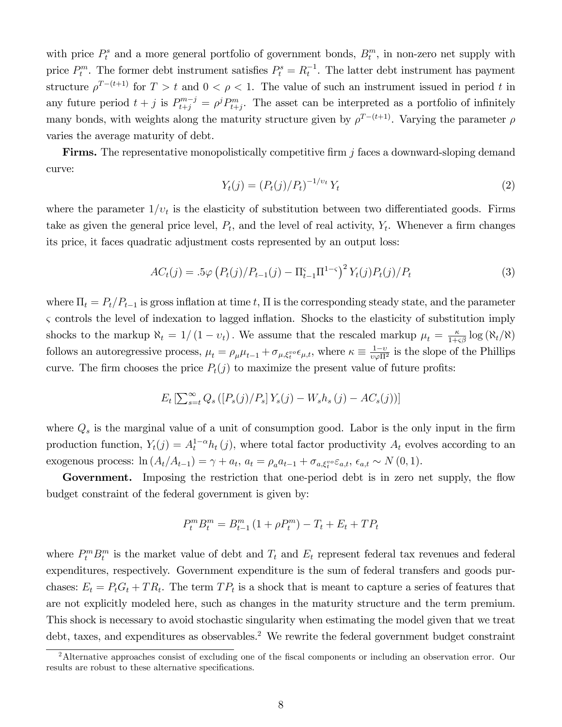with price  $P_t^s$  and a more general portfolio of government bonds,  $B_t^m$ , in non-zero net supply with price  $P_t^m$ . The former debt instrument satisfies  $P_t^s = R_t^{-1}$ . The latter debt instrument has payment structure  $\rho^{T-(t+1)}$  for  $T > t$  and  $0 < \rho < 1$ . The value of such an instrument issued in period t in any future period  $t + j$  is  $P_{t+j}^{m-j} = \rho^j P_{t+j}^m$ . The asset can be interpreted as a portfolio of infinitely many bonds, with weights along the maturity structure given by  $\rho^{T-(t+1)}$ . Varying the parameter  $\rho$ varies the average maturity of debt.

**Firms.** The representative monopolistically competitive firm  $j$  faces a downward-sloping demand curve:

$$
Y_t(j) = (P_t(j)/P_t)^{-1/\nu_t} Y_t
$$
\n(2)

where the parameter  $1/v_t$  is the elasticity of substitution between two differentiated goods. Firms take as given the general price level,  $P_t$ , and the level of real activity,  $Y_t$ . Whenever a firm changes its price, it faces quadratic adjustment costs represented by an output loss:

$$
AC_t(j) = .5\varphi \left( P_t(j) / P_{t-1}(j) - \Pi_{t-1}^{\varsigma} \Pi^{1-\varsigma} \right)^2 Y_t(j) P_t(j) / P_t \tag{3}
$$

where  $\Pi_t = P_t/P_{t-1}$  is gross inflation at time t,  $\Pi$  is the corresponding steady state, and the parameter  $\varsigma$  controls the level of indexation to lagged inflation. Shocks to the elasticity of substitution imply shocks to the markup  $\aleph_t = 1/(1 - v_t)$ . We assume that the rescaled markup  $\mu_t = \frac{\kappa}{1+\varsigma\beta} \log(\aleph_t/\aleph)$ follows an autoregressive process,  $\mu_t = \rho_\mu \mu_{t-1} + \sigma_{\mu, \xi_t^{vo}} \epsilon_{\mu, t}$ , where  $\kappa \equiv \frac{1-v}{v \varphi \Pi^2}$  is the slope of the Phillips curve. The firm chooses the price  $P_t(j)$  to maximize the present value of future profits:

$$
E_t \left[ \sum_{s=t}^{\infty} Q_s \left( [P_s(j)/P_s] Y_s(j) - W_s h_s(j) - AC_s(j) \right) \right]
$$

where  $Q_s$  is the marginal value of a unit of consumption good. Labor is the only input in the firm production function,  $Y_t(j) = A_t^{1-\alpha} h_t(j)$ , where total factor productivity  $A_t$  evolves according to an exogenous process:  $\ln(A_t/A_{t-1}) = \gamma + a_t$ ,  $a_t = \rho_a a_{t-1} + \sigma_{a,\xi_t^{vo}} \varepsilon_{a,t}$ ,  $\epsilon_{a,t} \sim N(0,1)$ .

Government. Imposing the restriction that one-period debt is in zero net supply, the flow budget constraint of the federal government is given by:

$$
P_t^m B_t^m = B_{t-1}^m (1 + \rho P_t^m) - T_t + E_t + T P_t
$$

where  $P_t^m B_t^m$  is the market value of debt and  $T_t$  and  $E_t$  represent federal tax revenues and federal expenditures, respectively. Government expenditure is the sum of federal transfers and goods purchases:  $E_t = P_t G_t + T R_t$ . The term  $TP_t$  is a shock that is meant to capture a series of features that are not explicitly modeled here, such as changes in the maturity structure and the term premium. This shock is necessary to avoid stochastic singularity when estimating the model given that we treat debt, taxes, and expenditures as observables.<sup>2</sup> We rewrite the federal government budget constraint

<sup>&</sup>lt;sup>2</sup>Alternative approaches consist of excluding one of the fiscal components or including an observation error. Our results are robust to these alternative specifications.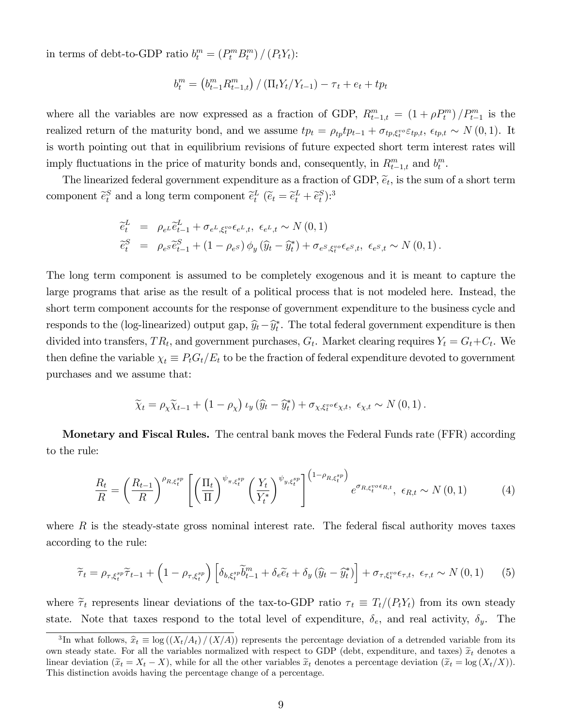in terms of debt-to-GDP ratio  $b_t^m = (P_t^m B_t^m) / (P_t Y_t)$ :

$$
b_t^m = (b_{t-1}^m R_{t-1,t}^m) / (\Pi_t Y_t / Y_{t-1}) - \tau_t + e_t + tp_t
$$

where all the variables are now expressed as a fraction of GDP,  $R_{t-1,t}^m = (1 + \rho P_t^m)/P_{t-1}^m$  is the realized return of the maturity bond, and we assume  $tp_t = \rho_{tp}tp_{t-1} + \sigma_{tp,\xi_t^{vo}} \varepsilon_{tp,t}, \epsilon_{tp,t} \sim N(0,1)$ . It is worth pointing out that in equilibrium revisions of future expected short term interest rates will imply fluctuations in the price of maturity bonds and, consequently, in  $R_{t-1,t}^m$  and  $b_t^m$ .

The linearized federal government expenditure as a fraction of GDP,  $\tilde{e}_t$ , is the sum of a short term component  $\tilde{e}_t^S$  and a long term component  $\tilde{e}_t^L$   $(\tilde{e}_t = \tilde{e}_t^L + \tilde{e}_t^S)$ :<sup>3</sup>

$$
\begin{aligned}\n\widetilde{e}_t^L &= \rho_{e^L}\widetilde{e}_{t-1}^L + \sigma_{e^L,\xi_t^{vo}}\epsilon_{e^L,t}, \ \epsilon_{e^L,t} \sim N\left(0,1\right) \\
\widetilde{e}_t^S &= \rho_{e^S}\widetilde{e}_{t-1}^S + \left(1 - \rho_{e^S}\right)\phi_y\left(\widehat{y}_t - \widehat{y}_t^*\right) + \sigma_{e^S,\xi_t^{vo}}\epsilon_{e^S,t}, \ \epsilon_{e^S,t} \sim N\left(0,1\right).\n\end{aligned}
$$

The long term component is assumed to be completely exogenous and it is meant to capture the large programs that arise as the result of a political process that is not modeled here. Instead, the short term component accounts for the response of government expenditure to the business cycle and responds to the (log-linearized) output gap,  $\widehat{y}_t - \widehat{y}_t^*$ . The total federal government expenditure is then divided into transfers,  $TR_t$ , and government purchases,  $G_t$ . Market clearing requires  $Y_t = G_t + C_t$ . We then define the variable  $\chi_t \equiv P_t G_t / E_t$  to be the fraction of federal expenditure devoted to government purchases and we assume that:

$$
\widetilde{\chi}_t = \rho_\chi \widetilde{\chi}_{t-1} + (1 - \rho_\chi) \iota_y (\widehat{y}_t - \widehat{y}_t^*) + \sigma_{\chi, \xi_t^{vo}} \epsilon_{\chi, t}, \ \epsilon_{\chi, t} \sim N(0, 1).
$$

Monetary and Fiscal Rules. The central bank moves the Federal Funds rate (FFR) according to the rule:

$$
\frac{R_t}{R} = \left(\frac{R_{t-1}}{R}\right)^{\rho_{R,\xi_t^{sp}}} \left[ \left(\frac{\Pi_t}{\Pi}\right)^{\psi_{\pi,\xi_t^{sp}}} \left(\frac{Y_t}{Y_t^*}\right)^{\psi_{y,\xi_t^{sp}}} \right]^{(1-\rho_{R,\xi_t^{sp}})} e^{\sigma_{R,\xi_t^{vo}\epsilon_{R,t}}}, \ \epsilon_{R,t} \sim N(0,1) \tag{4}
$$

where  $R$  is the steady-state gross nominal interest rate. The federal fiscal authority moves taxes according to the rule:

$$
\widetilde{\tau}_{t} = \rho_{\tau,\xi_{t}^{sp}} \widetilde{\tau}_{t-1} + \left(1 - \rho_{\tau,\xi_{t}^{sp}}\right) \left[\delta_{b,\xi_{t}^{sp}} \widetilde{b}_{t-1}^{m} + \delta_{e} \widetilde{e}_{t} + \delta_{y} \left(\widehat{y}_{t} - \widehat{y}_{t}^{*}\right)\right] + \sigma_{\tau,\xi_{t}^{vo}} \epsilon_{\tau,t}, \ \epsilon_{\tau,t} \sim N\left(0,1\right) \tag{5}
$$

where  $\tilde{\tau}_t$  represents linear deviations of the tax-to-GDP ratio  $\tau_t \equiv T_t/(P_tY_t)$  from its own steady state. Note that taxes respond to the total level of expenditure,  $\delta_e$ , and real activity,  $\delta_y$ . The

<sup>&</sup>lt;sup>3</sup>In what follows,  $\hat{x}_t \equiv \log((X_t/A_t)/(X/A))$  represents the percentage deviation of a detrended variable from its own steady state. For all the variables normalized with respect to GDP (debt, expenditure, and taxes)  $\tilde{x}_t$  denotes a linear deviation  $(\tilde{x}_t = X_t - X)$ , while for all the other variables  $\tilde{x}_t$  denotes a percentage deviation  $(\tilde{x}_t = \log(X_t/X))$ . This distinction avoids having the percentage change of a percentage.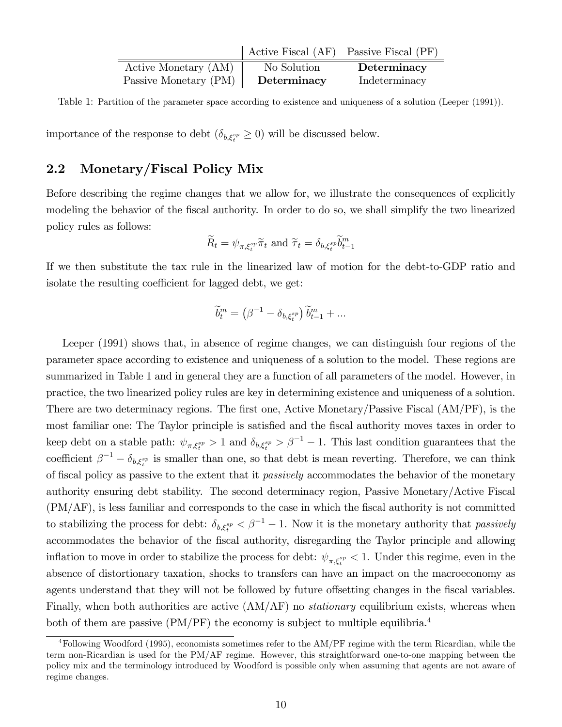|                         | $\parallel$ Active Fiscal (AF) Passive Fiscal (PF) |               |
|-------------------------|----------------------------------------------------|---------------|
| Active Monetary (AM)    | No Solution                                        | Determinacy   |
| Passive Monetary $(PM)$ | Determinacy                                        | Indeterminacy |

Table 1: Partition of the parameter space according to existence and uniqueness of a solution (Leeper (1991)).

importance of the response to debt  $(\delta_{b,\xi_i^{sp}} \geq 0)$  will be discussed below.

## 2.2 Monetary/Fiscal Policy Mix

Before describing the regime changes that we allow for, we illustrate the consequences of explicitly modeling the behavior of the fiscal authority. In order to do so, we shall simplify the two linearized policy rules as follows:

$$
\widetilde{R}_t = \psi_{\pi, \xi_t^{sp}} \widetilde{\pi}_t \text{ and } \widetilde{\tau}_t = \delta_{b, \xi_t^{sp}} \widetilde{b}_{t-1}^m
$$

If we then substitute the tax rule in the linearized law of motion for the debt-to-GDP ratio and isolate the resulting coefficient for lagged debt, we get:

$$
\widetilde{b}^m_t = \left(\beta^{-1} - \delta_{b,\xi_t^{sp}}\right) \widetilde{b}^m_{t-1} + \dots
$$

Leeper (1991) shows that, in absence of regime changes, we can distinguish four regions of the parameter space according to existence and uniqueness of a solution to the model. These regions are summarized in Table 1 and in general they are a function of all parameters of the model. However, in practice, the two linearized policy rules are key in determining existence and uniqueness of a solution. There are two determinacy regions. The first one, Active Monetary/Passive Fiscal (AM/PF), is the most familiar one: The Taylor principle is satisfied and the fiscal authority moves taxes in order to keep debt on a stable path:  $\psi_{\pi,\xi_t^{sp}} > 1$  and  $\delta_{b,\xi_t^{sp}} > \beta^{-1} - 1$ . This last condition guarantees that the coefficient  $\beta^{-1} - \delta_{b,\xi_t^{sp}}$  is smaller than one, so that debt is mean reverting. Therefore, we can think of fiscal policy as passive to the extent that it *passively* accommodates the behavior of the monetary authority ensuring debt stability. The second determinacy region, Passive Monetary/Active Fiscal (PM/AF), is less familiar and corresponds to the case in which the Öscal authority is not committed to stabilizing the process for debt:  $\delta_{b,\xi_t^{sp}} < \beta^{-1} - 1$ . Now it is the monetary authority that *passively* accommodates the behavior of the Öscal authority, disregarding the Taylor principle and allowing inflation to move in order to stabilize the process for debt:  $\psi_{\pi,\xi_i^{sp}} < 1$ . Under this regime, even in the absence of distortionary taxation, shocks to transfers can have an impact on the macroeconomy as agents understand that they will not be followed by future offsetting changes in the fiscal variables. Finally, when both authorities are active  $(AM/AF)$  no *stationary* equilibrium exists, whereas when both of them are passive (PM/PF) the economy is subject to multiple equilibria.<sup>4</sup>

<sup>&</sup>lt;sup>4</sup>Following Woodford (1995), economists sometimes refer to the AM/PF regime with the term Ricardian, while the term non-Ricardian is used for the PM/AF regime. However, this straightforward one-to-one mapping between the policy mix and the terminology introduced by Woodford is possible only when assuming that agents are not aware of regime changes.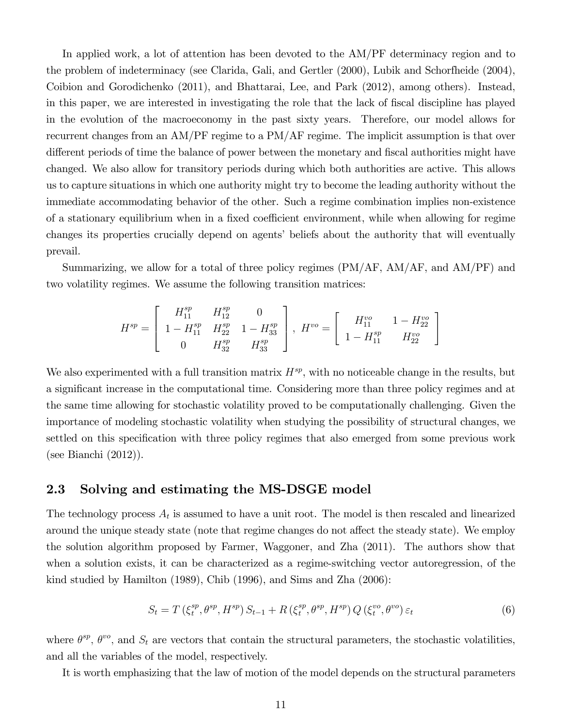In applied work, a lot of attention has been devoted to the AM/PF determinacy region and to the problem of indeterminacy (see Clarida, Gali, and Gertler (2000), Lubik and Schorfheide (2004), Coibion and Gorodichenko (2011), and Bhattarai, Lee, and Park (2012), among others). Instead, in this paper, we are interested in investigating the role that the lack of fiscal discipline has played in the evolution of the macroeconomy in the past sixty years. Therefore, our model allows for recurrent changes from an AM/PF regime to a PM/AF regime. The implicit assumption is that over different periods of time the balance of power between the monetary and fiscal authorities might have changed. We also allow for transitory periods during which both authorities are active. This allows us to capture situations in which one authority might try to become the leading authority without the immediate accommodating behavior of the other. Such a regime combination implies non-existence of a stationary equilibrium when in a fixed coefficient environment, while when allowing for regime changes its properties crucially depend on agentsí beliefs about the authority that will eventually prevail.

Summarizing, we allow for a total of three policy regimes (PM/AF, AM/AF, and AM/PF) and two volatility regimes. We assume the following transition matrices:

$$
H^{sp} = \left[ \begin{array}{ccc} H^{sp}_{11} & H^{sp}_{12} & 0 \\ 1-H^{sp}_{11} & H^{sp}_{22} & 1-H^{sp}_{33} \\ 0 & H^{sp}_{32} & H^{sp}_{33} \end{array} \right], \ H^{vo} = \left[ \begin{array}{ccc} H^{vo}_{11} & 1-H^{vo}_{22} \\ 1-H^{sp}_{11} & H^{vo}_{22} \end{array} \right]
$$

We also experimented with a full transition matrix  $H^{sp}$ , with no noticeable change in the results, but a significant increase in the computational time. Considering more than three policy regimes and at the same time allowing for stochastic volatility proved to be computationally challenging. Given the importance of modeling stochastic volatility when studying the possibility of structural changes, we settled on this specification with three policy regimes that also emerged from some previous work (see Bianchi (2012)).

#### 2.3 Solving and estimating the MS-DSGE model

The technology process  $A_t$  is assumed to have a unit root. The model is then rescaled and linearized around the unique steady state (note that regime changes do not affect the steady state). We employ the solution algorithm proposed by Farmer, Waggoner, and Zha (2011). The authors show that when a solution exists, it can be characterized as a regime-switching vector autoregression, of the kind studied by Hamilton (1989), Chib (1996), and Sims and Zha (2006):

$$
S_t = T\left(\xi_t^{sp}, \theta^{sp}, H^{sp}\right) S_{t-1} + R\left(\xi_t^{sp}, \theta^{sp}, H^{sp}\right) Q\left(\xi_t^{vo}, \theta^{vo}\right) \varepsilon_t \tag{6}
$$

where  $\theta^{sp}$ ,  $\theta^{vo}$ , and  $S_t$  are vectors that contain the structural parameters, the stochastic volatilities, and all the variables of the model, respectively.

It is worth emphasizing that the law of motion of the model depends on the structural parameters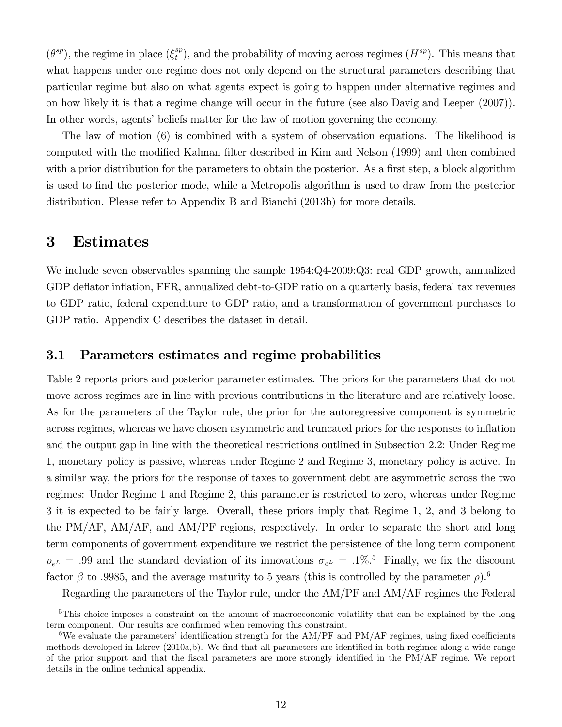$(\theta^{sp})$ , the regime in place  $(\xi_t^{sp})$  $t^{sp}$ , and the probability of moving across regimes  $(H^{sp})$ . This means that what happens under one regime does not only depend on the structural parameters describing that particular regime but also on what agents expect is going to happen under alternative regimes and on how likely it is that a regime change will occur in the future (see also Davig and Leeper (2007)). In other words, agents' beliefs matter for the law of motion governing the economy.

The law of motion (6) is combined with a system of observation equations. The likelihood is computed with the modified Kalman filter described in Kim and Nelson (1999) and then combined with a prior distribution for the parameters to obtain the posterior. As a first step, a block algorithm is used to Önd the posterior mode, while a Metropolis algorithm is used to draw from the posterior distribution. Please refer to Appendix B and Bianchi (2013b) for more details.

#### 3 Estimates

We include seven observables spanning the sample  $1954:Q4-2009:Q3$ : real GDP growth, annualized GDP deflator inflation, FFR, annualized debt-to-GDP ratio on a quarterly basis, federal tax revenues to GDP ratio, federal expenditure to GDP ratio, and a transformation of government purchases to GDP ratio. Appendix C describes the dataset in detail.

#### 3.1 Parameters estimates and regime probabilities

Table 2 reports priors and posterior parameter estimates. The priors for the parameters that do not move across regimes are in line with previous contributions in the literature and are relatively loose. As for the parameters of the Taylor rule, the prior for the autoregressive component is symmetric across regimes, whereas we have chosen asymmetric and truncated priors for the responses to ináation and the output gap in line with the theoretical restrictions outlined in Subsection 2.2: Under Regime 1, monetary policy is passive, whereas under Regime 2 and Regime 3, monetary policy is active. In a similar way, the priors for the response of taxes to government debt are asymmetric across the two regimes: Under Regime 1 and Regime 2, this parameter is restricted to zero, whereas under Regime 3 it is expected to be fairly large. Overall, these priors imply that Regime 1, 2, and 3 belong to the PM/AF, AM/AF, and AM/PF regions, respectively. In order to separate the short and long term components of government expenditure we restrict the persistence of the long term component  $\rho_{e^L} = .99$  and the standard deviation of its innovations  $\sigma_{e^L} = .1\%$ .<sup>5</sup> Finally, we fix the discount factor  $\beta$  to .9985, and the average maturity to 5 years (this is controlled by the parameter  $\rho$ ).<sup>6</sup>

Regarding the parameters of the Taylor rule, under the AM/PF and AM/AF regimes the Federal

<sup>&</sup>lt;sup>5</sup>This choice imposes a constraint on the amount of macroeconomic volatility that can be explained by the long term component. Our results are confirmed when removing this constraint.

<sup>&</sup>lt;sup>6</sup>We evaluate the parameters' identification strength for the  $AM/PF$  and  $PM/AF$  regimes, using fixed coefficients methods developed in Iskrev (2010a,b). We find that all parameters are identified in both regimes along a wide range of the prior support and that the fiscal parameters are more strongly identified in the PM/AF regime. We report details in the online technical appendix.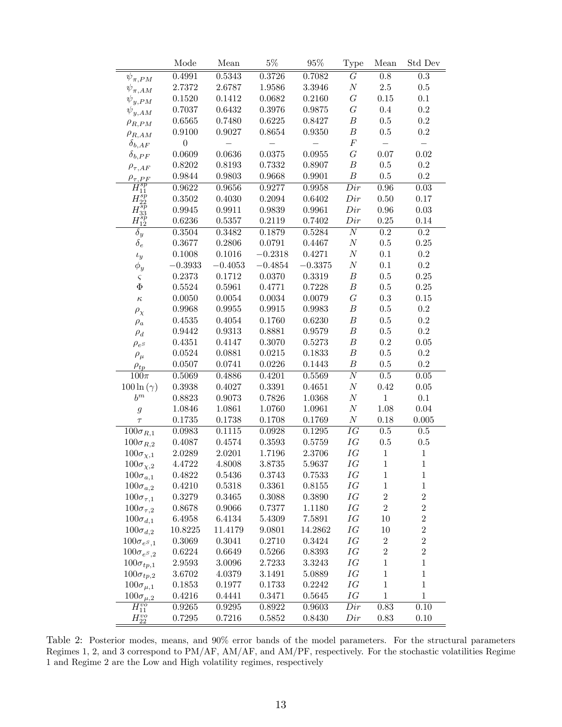|                               | Mode             | Mean      | $5\%$     | 95%       | Type             | Mean             | Std Dev          |
|-------------------------------|------------------|-----------|-----------|-----------|------------------|------------------|------------------|
| $\psi_{\pi,PM}$               | 0.4991           | 0.5343    | 0.3726    | 0.7082    | $\overline{G}$   | 0.8              | $\rm 0.3$        |
| $\psi_{\pi,AM}$               | 2.7372           | 2.6787    | 1.9586    | 3.3946    | $\cal N$         | $2.5\,$          | 0.5              |
| $\psi_{y,PM}$                 | 0.1520           | 0.1412    | 0.0682    | 0.2160    | $G\,$            | $0.15\,$         | 0.1              |
| $\psi_{y,AM}$                 | 0.7037           | 0.6432    | 0.3976    | 0.9875    | $G\,$            | $0.4\,$          | $\rm 0.2$        |
| $\rho_{R,PM}$                 | 0.6565           | 0.7480    | 0.6225    | 0.8427    | $\boldsymbol{B}$ | $0.5\,$          | $\rm 0.2$        |
| $\rho_{R,AM}$                 | 0.9100           | 0.9027    | 0.8654    | 0.9350    | $\boldsymbol{B}$ | $0.5\,$          | $\rm 0.2$        |
| $\delta_{b,AF}$               | $\boldsymbol{0}$ |           |           |           | $\cal F$         |                  |                  |
| $\delta_{b,PF}$               | 0.0609           | 0.0636    | 0.0375    | 0.0955    | $\cal G$         | $0.07\,$         | $0.02\,$         |
| $\rho_{\tau, AF}$             | 0.8202           | 0.8193    | 0.7332    | 0.8907    | $\boldsymbol{B}$ | $0.5\,$          | 0.2              |
| $\rho_{\tau,PF}$              | 0.9844           | 0.9803    | 0.9668    | 0.9901    | $\boldsymbol{B}$ | $0.5\,$          | $\rm 0.2$        |
| $H^{sp}_{11}$                 | 0.9622           | 0.9656    | 0.9277    | 0.9958    | Dir              | 0.96             | 0.03             |
| $H_{22}^{sp}$                 | 0.3502           | 0.4030    | 0.2094    | 0.6402    | Dir              | $0.50\,$         | $0.17\,$         |
| $H^{sp}_{33}$                 | 0.9945           | 0.9911    | 0.9839    | 0.9961    | Dir              | $0.96\,$         | 0.03             |
| $H^{sp}_{12}$                 | 0.6236           | 0.5357    | 0.2119    | 0.7402    | Dir              | $0.25\,$         | 0.14             |
| $\delta_y$                    | 0.3504           | 0.3482    | 0.1879    | 0.5284    | $\overline{N}$   | 0.2              | $\rm 0.2$        |
| $\delta_e$                    | 0.3677           | 0.2806    | 0.0791    | 0.4467    | $\cal N$         | $0.5\,$          | 0.25             |
| $\iota_y$                     | 0.1008           | 0.1016    | $-0.2318$ | 0.4271    | $\cal N$         | 0.1              | $\rm 0.2$        |
| $\phi_y$                      | $-0.3933$        | $-0.4053$ | $-0.4854$ | $-0.3375$ | $\cal N$         | 0.1              | $\rm 0.2$        |
| $\varsigma$                   | 0.2373           | 0.1712    | 0.0370    | 0.3319    | $\boldsymbol{B}$ | $0.5\,$          | $0.25\,$         |
| $\Phi$                        | 0.5524           | 0.5961    | 0.4771    | 0.7228    | $\boldsymbol{B}$ | $0.5\,$          | 0.25             |
| $\kappa$                      | 0.0050           | 0.0054    | 0.0034    | 0.0079    | $\cal G$         | $\rm 0.3$        | 0.15             |
| $\rho_\chi$                   | 0.9968           | 0.9955    | 0.9915    | 0.9983    | $\boldsymbol{B}$ | $0.5\,$          | 0.2              |
| $\rho_a$                      | 0.4535           | 0.4054    | 0.1760    | 0.6230    | $\boldsymbol{B}$ | $0.5\,$          | $\rm 0.2$        |
| $\rho_d$                      | 0.9442           | 0.9313    | 0.8881    | 0.9579    | $\boldsymbol{B}$ | $0.5\,$          | $\rm 0.2$        |
| $\rho_{e^S}$                  | 0.4351           | 0.4147    | 0.3070    | 0.5273    | $\boldsymbol{B}$ | 0.2              | 0.05             |
| $\rho_\mu$                    | 0.0524           | 0.0881    | 0.0215    | 0.1833    | $\boldsymbol{B}$ | $0.5\,$          | 0.2              |
| $\rho_{tp}$                   | 0.0507           | 0.0741    | 0.0226    | 0.1443    | $\boldsymbol{B}$ | $0.5\,$          | $\rm 0.2$        |
| $100\pi$                      | 0.5069           | 0.4886    | 0.4201    | 0.5569    | $\overline{N}$   | $0.5\,$          | $0.05\,$         |
| $100 \ln(\gamma)$             | 0.3938           | 0.4027    | 0.3391    | 0.4651    | $\cal N$         | 0.42             | 0.05             |
| $b^m$                         | 0.8823           | 0.9073    | 0.7826    | 1.0368    | $\cal N$         | $\mathbf{1}$     | $0.1\,$          |
| $\mathfrak{g}$                | 1.0846           | 1.0861    | 1.0760    | 1.0961    | $\cal N$         | $1.08\,$         | $0.04\,$         |
| $\tau$                        | 0.1735           | 0.1738    | 0.1708    | 0.1769    | $\cal N$         | 0.18             | 0.005            |
| $\overline{100} \sigma_{R,1}$ | 0.0983           | 0.1115    | 0.0928    | 0.1295    | $\overline{IG}$  | $\overline{0.5}$ | $0.5\,$          |
| $100\sigma_{R,2}$             | 0.4087           | 0.4574    | 0.3593    | 0.5759    | IG               | $0.5\,$          | $0.5\,$          |
| $100\sigma_{\chi,1}$          | 2.0289           | 2.0201    | 1.7196    | 2.3706    | IG               | $\,1$            | $\,1$            |
| $100\sigma_{\chi,2}$          | 4.4722           | 4.8008    | 3.8735    | 5.9637    | IG               | $\mathbf{1}$     | $\,1\,$          |
| $100\sigma_{a,1}$             | 0.4822           | 0.5436    | 0.3743    | 0.7533    | IG               | $\mathbf 1$      | $\mathbf{1}$     |
| $100\sigma_{a,2}$             | 0.4210           | 0.5318    | 0.3361    | 0.8155    | IG               | $\mathbf{1}$     | $\mathbf{1}$     |
| $100\sigma_{\tau,1}$          | 0.3279           | 0.3465    | 0.3088    | 0.3890    | ΙG               | $\boldsymbol{2}$ | $\sqrt{2}$       |
| $100\sigma_{\tau,2}$          | 0.8678           | 0.9066    | 0.7377    | 1.1180    | ΙG               | $\boldsymbol{2}$ | $\sqrt{2}$       |
| $100\sigma_{d,1}$             | 6.4958           | 6.4134    | 5.4309    | 7.5891    | ΙG               | 10               | $\sqrt{2}$       |
| $100\sigma_{d,2}$             | 10.8225          | 11.4179   | 9.0801    | 14.2862   | ΙG               | 10               | $\sqrt{2}$       |
| $100\sigma_{e^S,1}$           | 0.3069           | 0.3041    | 0.2710    | 0.3424    | ΙG               | $\boldsymbol{2}$ | $\boldsymbol{2}$ |
| $100\sigma_{e^S,2}$           | 0.6224           | 0.6649    | 0.5266    | 0.8393    | ΙG               | $\overline{2}$   | $\sqrt{2}$       |
| $100\sigma_{tp,1}$            | 2.9593           | 3.0096    | 2.7233    | 3.3243    | ΙG               | $\mathbf{1}$     | $\mathbf 1$      |
| $100\sigma_{tp,2}$            | 3.6702           | 4.0379    | 3.1491    | 5.0889    | ΙG               | $\mathbf{1}$     | $\mathbf{1}$     |
| $100\sigma_{\mu,1}$           | 0.1853           | 0.1977    | 0.1733    | 0.2242    | ΙG               | $\mathbf{1}$     | $\mathbf 1$      |
| $100\sigma_{\mu,2}$           | 0.4216           | 0.4441    | 0.3471    | 0.5645    | IG               | $\mathbf{1}$     | $\,1$            |
| $\overline{H^{vo}_{11}}$      | 0.9265           | 0.9295    | 0.8922    | 0.9603    | Dir              | 0.83             | 0.10             |
| $H_{22}^{\upsilon o}$         | 0.7295           | 0.7216    | 0.5852    | 0.8430    | Dir              | $0.83\,$         | 0.10             |

Table 2: Posterior modes, means, and 90% error bands of the model parameters. For the structural parameters Regimes 1, 2, and 3 correspond to PM/AF, AM/AF, and AM/PF, respectively. For the stochastic volatilities Regime 1 and Regime 2 are the Low and High volatility regimes, respectively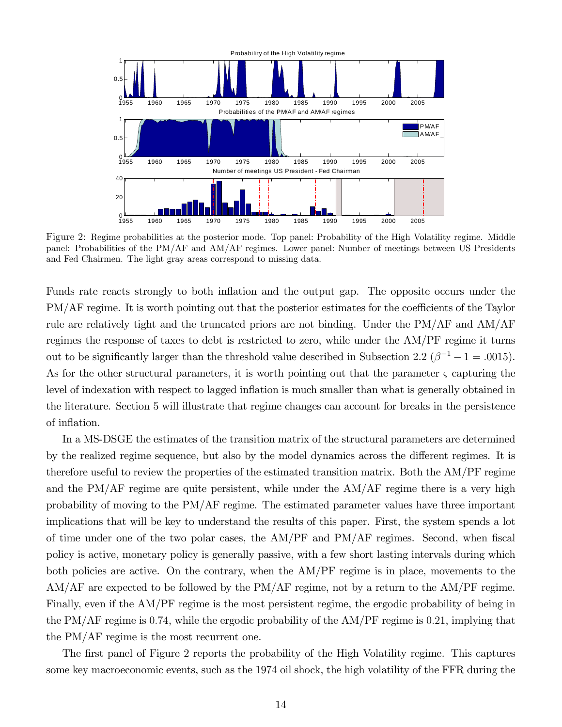

Figure 2: Regime probabilities at the posterior mode. Top panel: Probability of the High Volatility regime. Middle panel: Probabilities of the PM/AF and AM/AF regimes. Lower panel: Number of meetings between US Presidents and Fed Chairmen. The light gray areas correspond to missing data.

Funds rate reacts strongly to both inflation and the output gap. The opposite occurs under the PM/AF regime. It is worth pointing out that the posterior estimates for the coefficients of the Taylor rule are relatively tight and the truncated priors are not binding. Under the PM/AF and AM/AF regimes the response of taxes to debt is restricted to zero, while under the AM/PF regime it turns out to be significantly larger than the threshold value described in Subsection 2.2 ( $\beta^{-1} - 1 = .0015$ ). As for the other structural parameters, it is worth pointing out that the parameter  $\varsigma$  capturing the level of indexation with respect to lagged inflation is much smaller than what is generally obtained in the literature. Section 5 will illustrate that regime changes can account for breaks in the persistence of inflation.

In a MS-DSGE the estimates of the transition matrix of the structural parameters are determined by the realized regime sequence, but also by the model dynamics across the different regimes. It is therefore useful to review the properties of the estimated transition matrix. Both the AM/PF regime and the PM/AF regime are quite persistent, while under the AM/AF regime there is a very high probability of moving to the PM/AF regime. The estimated parameter values have three important implications that will be key to understand the results of this paper. First, the system spends a lot of time under one of the two polar cases, the  $AM/PF$  and  $PM/AF$  regimes. Second, when fiscal policy is active, monetary policy is generally passive, with a few short lasting intervals during which both policies are active. On the contrary, when the AM/PF regime is in place, movements to the AM/AF are expected to be followed by the PM/AF regime, not by a return to the AM/PF regime. Finally, even if the AM/PF regime is the most persistent regime, the ergodic probability of being in the PM/AF regime is 0:74, while the ergodic probability of the AM/PF regime is 0:21, implying that the PM/AF regime is the most recurrent one.

The first panel of Figure 2 reports the probability of the High Volatility regime. This captures some key macroeconomic events, such as the 1974 oil shock, the high volatility of the FFR during the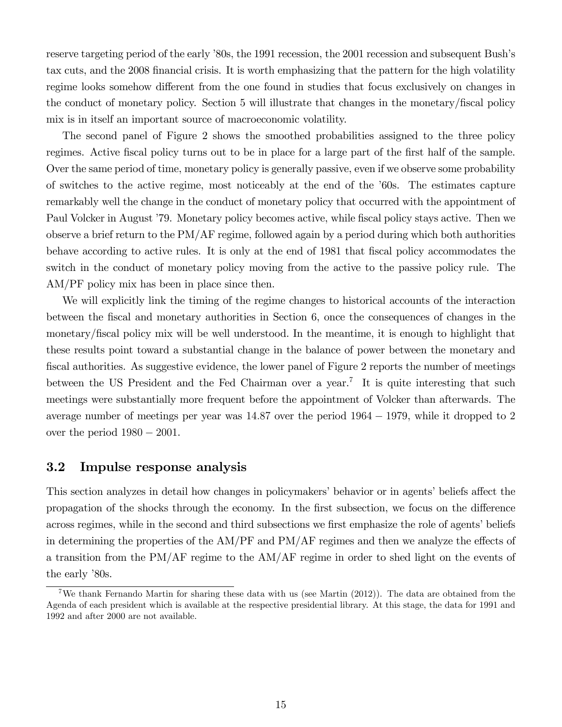reserve targeting period of the early '80s, the 1991 recession, the 2001 recession and subsequent Bush's tax cuts, and the 2008 Önancial crisis. It is worth emphasizing that the pattern for the high volatility regime looks somehow different from the one found in studies that focus exclusively on changes in the conduct of monetary policy. Section 5 will illustrate that changes in the monetary/Öscal policy mix is in itself an important source of macroeconomic volatility.

The second panel of Figure 2 shows the smoothed probabilities assigned to the three policy regimes. Active fiscal policy turns out to be in place for a large part of the first half of the sample. Over the same period of time, monetary policy is generally passive, even if we observe some probability of switches to the active regime, most noticeably at the end of the í60s. The estimates capture remarkably well the change in the conduct of monetary policy that occurred with the appointment of Paul Volcker in August <sup>7</sup>79. Monetary policy becomes active, while fiscal policy stays active. Then we observe a brief return to the PM/AF regime, followed again by a period during which both authorities behave according to active rules. It is only at the end of 1981 that fiscal policy accommodates the switch in the conduct of monetary policy moving from the active to the passive policy rule. The AM/PF policy mix has been in place since then.

We will explicitly link the timing of the regime changes to historical accounts of the interaction between the fiscal and monetary authorities in Section 6, once the consequences of changes in the monetary/Öscal policy mix will be well understood. In the meantime, it is enough to highlight that these results point toward a substantial change in the balance of power between the monetary and fiscal authorities. As suggestive evidence, the lower panel of Figure 2 reports the number of meetings between the US President and the Fed Chairman over a year.<sup>7</sup> It is quite interesting that such meetings were substantially more frequent before the appointment of Volcker than afterwards. The average number of meetings per year was  $14.87$  over the period  $1964 - 1979$ , while it dropped to 2 over the period  $1980 - 2001$ .

#### 3.2 Impulse response analysis

This section analyzes in detail how changes in policymakers' behavior or in agents' beliefs affect the propagation of the shocks through the economy. In the first subsection, we focus on the difference across regimes, while in the second and third subsections we first emphasize the role of agents' beliefs in determining the properties of the  $AM/PF$  and  $PM/AF$  regimes and then we analyze the effects of a transition from the PM/AF regime to the AM/AF regime in order to shed light on the events of the early '80s.

<sup>7</sup>We thank Fernando Martin for sharing these data with us (see Martin (2012)). The data are obtained from the Agenda of each president which is available at the respective presidential library. At this stage, the data for 1991 and 1992 and after 2000 are not available.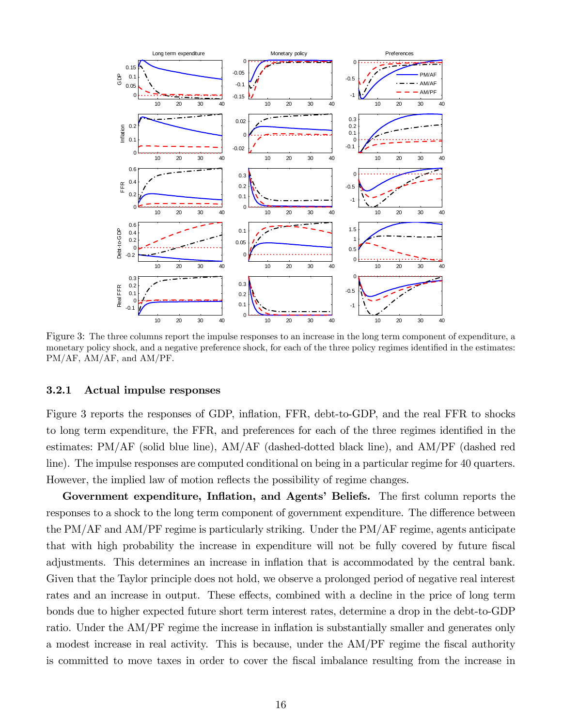

Figure 3: The three columns report the impulse responses to an increase in the long term component of expenditure, a monetary policy shock, and a negative preference shock, for each of the three policy regimes identified in the estimates: PM/AF, AM/AF, and AM/PF.

#### 3.2.1 Actual impulse responses

Figure 3 reports the responses of GDP, inflation, FFR, debt-to-GDP, and the real FFR to shocks to long term expenditure, the FFR, and preferences for each of the three regimes identified in the estimates: PM/AF (solid blue line), AM/AF (dashed-dotted black line), and AM/PF (dashed red line). The impulse responses are computed conditional on being in a particular regime for 40 quarters. However, the implied law of motion reflects the possibility of regime changes.

Government expenditure, Inflation, and Agents' Beliefs. The first column reports the responses to a shock to the long term component of government expenditure. The difference between the PM/AF and AM/PF regime is particularly striking. Under the PM/AF regime, agents anticipate that with high probability the increase in expenditure will not be fully covered by future fiscal adjustments. This determines an increase in inflation that is accommodated by the central bank. Given that the Taylor principle does not hold, we observe a prolonged period of negative real interest rates and an increase in output. These effects, combined with a decline in the price of long term bonds due to higher expected future short term interest rates, determine a drop in the debt-to-GDP ratio. Under the AM/PF regime the increase in inflation is substantially smaller and generates only a modest increase in real activity. This is because, under the AM/PF regime the fiscal authority is committed to move taxes in order to cover the Öscal imbalance resulting from the increase in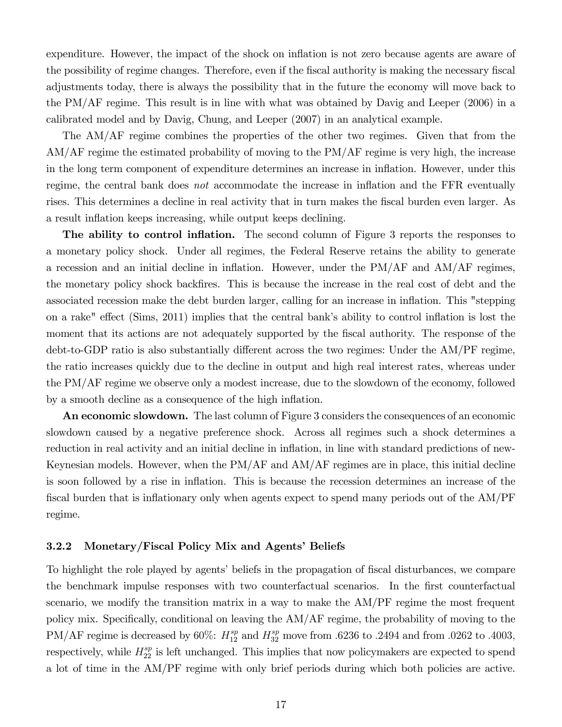expenditure. However, the impact of the shock on inflation is not zero because agents are aware of the possibility of regime changes. Therefore, even if the fiscal authority is making the necessary fiscal adjustments today, there is always the possibility that in the future the economy will move back to the PM/AF regime. This result is in line with what was obtained by Davig and Leeper (2006) in a calibrated model and by Davig, Chung, and Leeper (2007) in an analytical example.

The AM/AF regime combines the properties of the other two regimes. Given that from the AM/AF regime the estimated probability of moving to the PM/AF regime is very high, the increase in the long term component of expenditure determines an increase in inflation. However, under this regime, the central bank does *not* accommodate the increase in inflation and the FFR eventually rises. This determines a decline in real activity that in turn makes the fiscal burden even larger. As a result inflation keeps increasing, while output keeps declining.

**The ability to control inflation.** The second column of Figure 3 reports the responses to a monetary policy shock. Under all regimes, the Federal Reserve retains the ability to generate a recession and an initial decline in inflation. However, under the  $PM/AF$  and  $AM/AF$  regimes, the monetary policy shock backÖres. This is because the increase in the real cost of debt and the associated recession make the debt burden larger, calling for an increase in ináation. This "stepping on a rake" effect (Sims, 2011) implies that the central bank's ability to control inflation is lost the moment that its actions are not adequately supported by the fiscal authority. The response of the debt-to-GDP ratio is also substantially different across the two regimes: Under the AM/PF regime, the ratio increases quickly due to the decline in output and high real interest rates, whereas under the PM/AF regime we observe only a modest increase, due to the slowdown of the economy, followed by a smooth decline as a consequence of the high inflation.

An economic slowdown. The last column of Figure 3 considers the consequences of an economic slowdown caused by a negative preference shock. Across all regimes such a shock determines a reduction in real activity and an initial decline in inflation, in line with standard predictions of new-Keynesian models. However, when the PM/AF and AM/AF regimes are in place, this initial decline is soon followed by a rise in inflation. This is because the recession determines an increase of the fiscal burden that is inflationary only when agents expect to spend many periods out of the AM/PF regime.

#### 3.2.2 Monetary/Fiscal Policy Mix and Agents' Beliefs

To highlight the role played by agents' beliefs in the propagation of fiscal disturbances, we compare the benchmark impulse responses with two counterfactual scenarios. In the Örst counterfactual scenario, we modify the transition matrix in a way to make the AM/PF regime the most frequent policy mix. Specifically, conditional on leaving the AM/AF regime, the probability of moving to the PM/AF regime is decreased by 60%:  $H_{12}^{sp}$  and  $H_{32}^{sp}$  move from .6236 to .2494 and from .0262 to .4003, respectively, while  $H_{22}^{sp}$  is left unchanged. This implies that now policymakers are expected to spend a lot of time in the AM/PF regime with only brief periods during which both policies are active.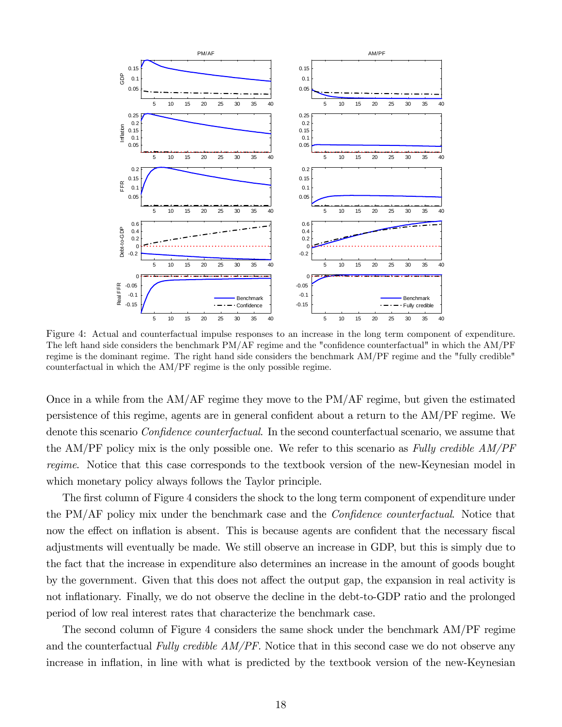

Figure 4: Actual and counterfactual impulse responses to an increase in the long term component of expenditure. The left hand side considers the benchmark  $PM/AF$  regime and the "confidence counterfactual" in which the  $AM/PF$ regime is the dominant regime. The right hand side considers the benchmark AM/PF regime and the "fully credible" counterfactual in which the AM/PF regime is the only possible regime.

Once in a while from the AM/AF regime they move to the PM/AF regime, but given the estimated persistence of this regime, agents are in general confident about a return to the AM/PF regime. We denote this scenario *Confidence counterfactual*. In the second counterfactual scenario, we assume that the AM/PF policy mix is the only possible one. We refer to this scenario as Fully credible AM/PF regime. Notice that this case corresponds to the textbook version of the new-Keynesian model in which monetary policy always follows the Taylor principle.

The first column of Figure 4 considers the shock to the long term component of expenditure under the PM/AF policy mix under the benchmark case and the *Confidence counterfactual*. Notice that now the effect on inflation is absent. This is because agents are confident that the necessary fiscal adjustments will eventually be made. We still observe an increase in GDP, but this is simply due to the fact that the increase in expenditure also determines an increase in the amount of goods bought by the government. Given that this does not affect the output gap, the expansion in real activity is not inflationary. Finally, we do not observe the decline in the debt-to-GDP ratio and the prolonged period of low real interest rates that characterize the benchmark case.

The second column of Figure 4 considers the same shock under the benchmark AM/PF regime and the counterfactual Fully credible  $AM/PF$ . Notice that in this second case we do not observe any increase in inflation, in line with what is predicted by the textbook version of the new-Keynesian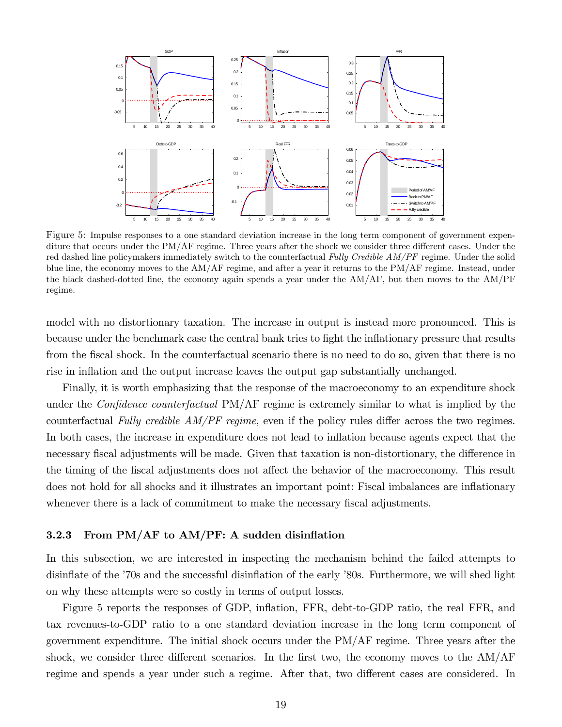

Figure 5: Impulse responses to a one standard deviation increase in the long term component of government expenditure that occurs under the  $PM/AF$  regime. Three years after the shock we consider three different cases. Under the red dashed line policymakers immediately switch to the counterfactual Fully Credible AM/PF regime. Under the solid blue line, the economy moves to the AM/AF regime, and after a year it returns to the PM/AF regime. Instead, under the black dashed-dotted line, the economy again spends a year under the AM/AF, but then moves to the AM/PF regime.

model with no distortionary taxation. The increase in output is instead more pronounced. This is because under the benchmark case the central bank tries to fight the inflationary pressure that results from the Öscal shock. In the counterfactual scenario there is no need to do so, given that there is no rise in inflation and the output increase leaves the output gap substantially unchanged.

Finally, it is worth emphasizing that the response of the macroeconomy to an expenditure shock under the *Confidence counterfactual* PM/AF regime is extremely similar to what is implied by the counterfactual Fully credible  $AM/PF$  regime, even if the policy rules differ across the two regimes. In both cases, the increase in expenditure does not lead to inflation because agents expect that the necessary fiscal adjustments will be made. Given that taxation is non-distortionary, the difference in the timing of the fiscal adjustments does not affect the behavior of the macroeconomy. This result does not hold for all shocks and it illustrates an important point: Fiscal imbalances are inflationary whenever there is a lack of commitment to make the necessary fiscal adjustments.

#### 3.2.3 From  $PM/AF$  to  $AM/PF$ : A sudden disinflation

In this subsection, we are interested in inspecting the mechanism behind the failed attempts to disinflate of the  $\dot{\phantom{a}}$ 70s and the successful disinflation of the early *'80s*. Furthermore, we will shed light on why these attempts were so costly in terms of output losses.

Figure 5 reports the responses of GDP, inflation, FFR, debt-to-GDP ratio, the real FFR, and tax revenues-to-GDP ratio to a one standard deviation increase in the long term component of government expenditure. The initial shock occurs under the PM/AF regime. Three years after the shock, we consider three different scenarios. In the first two, the economy moves to the  $AM/AF$ regime and spends a year under such a regime. After that, two different cases are considered. In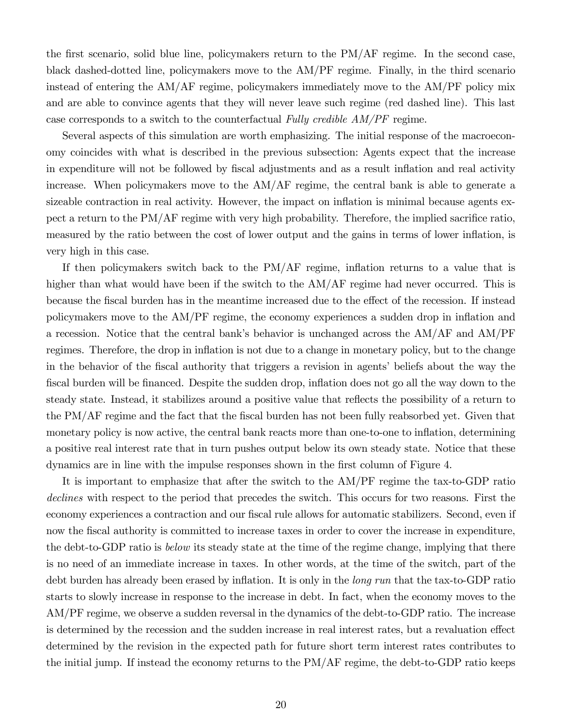the first scenario, solid blue line, policymakers return to the  $PM/AF$  regime. In the second case, black dashed-dotted line, policymakers move to the AM/PF regime. Finally, in the third scenario instead of entering the AM/AF regime, policymakers immediately move to the AM/PF policy mix and are able to convince agents that they will never leave such regime (red dashed line). This last case corresponds to a switch to the counterfactual Fully credible AM/PF regime.

Several aspects of this simulation are worth emphasizing. The initial response of the macroeconomy coincides with what is described in the previous subsection: Agents expect that the increase in expenditure will not be followed by fiscal adjustments and as a result inflation and real activity increase. When policymakers move to the AM/AF regime, the central bank is able to generate a sizeable contraction in real activity. However, the impact on inflation is minimal because agents expect a return to the  $PM/AF$  regime with very high probability. Therefore, the implied sacrifice ratio, measured by the ratio between the cost of lower output and the gains in terms of lower ináation, is very high in this case.

If then policymakers switch back to the  $PM/AF$  regime, inflation returns to a value that is higher than what would have been if the switch to the  $AM/AF$  regime had never occurred. This is because the fiscal burden has in the meantime increased due to the effect of the recession. If instead policymakers move to the AM/PF regime, the economy experiences a sudden drop in ináation and a recession. Notice that the central bank's behavior is unchanged across the  $AM/AF$  and  $AM/PF$ regimes. Therefore, the drop in inflation is not due to a change in monetary policy, but to the change in the behavior of the fiscal authority that triggers a revision in agents' beliefs about the way the fiscal burden will be financed. Despite the sudden drop, inflation does not go all the way down to the steady state. Instead, it stabilizes around a positive value that reflects the possibility of a return to the  $PM/AF$  regime and the fact that the fiscal burden has not been fully reabsorbed yet. Given that monetary policy is now active, the central bank reacts more than one-to-one to inflation, determining a positive real interest rate that in turn pushes output below its own steady state. Notice that these dynamics are in line with the impulse responses shown in the first column of Figure 4.

It is important to emphasize that after the switch to the AM/PF regime the tax-to-GDP ratio declines with respect to the period that precedes the switch. This occurs for two reasons. First the economy experiences a contraction and our fiscal rule allows for automatic stabilizers. Second, even if now the fiscal authority is committed to increase taxes in order to cover the increase in expenditure, the debt-to-GDP ratio is *below* its steady state at the time of the regime change, implying that there is no need of an immediate increase in taxes. In other words, at the time of the switch, part of the debt burden has already been erased by inflation. It is only in the *long run* that the tax-to-GDP ratio starts to slowly increase in response to the increase in debt. In fact, when the economy moves to the AM/PF regime, we observe a sudden reversal in the dynamics of the debt-to-GDP ratio. The increase is determined by the recession and the sudden increase in real interest rates, but a revaluation effect determined by the revision in the expected path for future short term interest rates contributes to the initial jump. If instead the economy returns to the PM/AF regime, the debt-to-GDP ratio keeps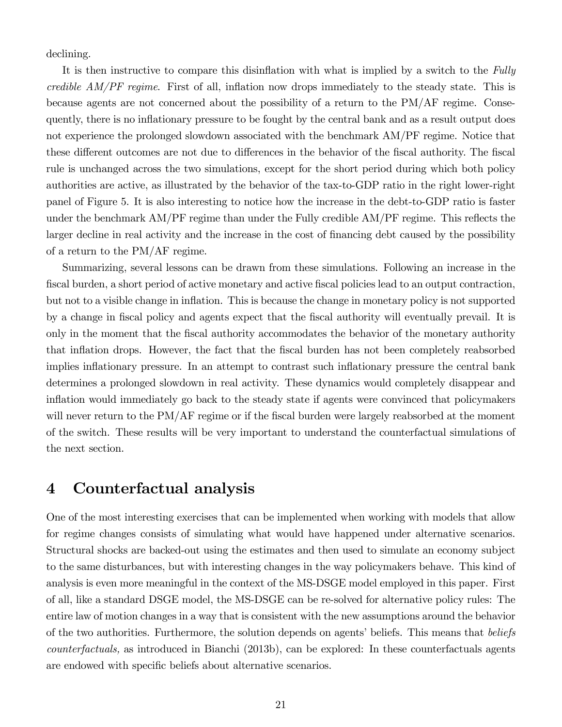declining.

It is then instructive to compare this disinflation with what is implied by a switch to the Fully credible  $AM/PF$  regime. First of all, inflation now drops immediately to the steady state. This is because agents are not concerned about the possibility of a return to the PM/AF regime. Consequently, there is no ináationary pressure to be fought by the central bank and as a result output does not experience the prolonged slowdown associated with the benchmark AM/PF regime. Notice that these different outcomes are not due to differences in the behavior of the fiscal authority. The fiscal rule is unchanged across the two simulations, except for the short period during which both policy authorities are active, as illustrated by the behavior of the tax-to-GDP ratio in the right lower-right panel of Figure 5. It is also interesting to notice how the increase in the debt-to-GDP ratio is faster under the benchmark  $AM/PF$  regime than under the Fully credible  $AM/PF$  regime. This reflects the larger decline in real activity and the increase in the cost of financing debt caused by the possibility of a return to the PM/AF regime.

Summarizing, several lessons can be drawn from these simulations. Following an increase in the fiscal burden, a short period of active monetary and active fiscal policies lead to an output contraction, but not to a visible change in ináation. This is because the change in monetary policy is not supported by a change in Öscal policy and agents expect that the Öscal authority will eventually prevail. It is only in the moment that the Öscal authority accommodates the behavior of the monetary authority that inflation drops. However, the fact that the fiscal burden has not been completely reabsorbed implies inflationary pressure. In an attempt to contrast such inflationary pressure the central bank determines a prolonged slowdown in real activity. These dynamics would completely disappear and ináation would immediately go back to the steady state if agents were convinced that policymakers will never return to the PM/AF regime or if the fiscal burden were largely reabsorbed at the moment of the switch. These results will be very important to understand the counterfactual simulations of the next section.

## 4 Counterfactual analysis

One of the most interesting exercises that can be implemented when working with models that allow for regime changes consists of simulating what would have happened under alternative scenarios. Structural shocks are backed-out using the estimates and then used to simulate an economy subject to the same disturbances, but with interesting changes in the way policymakers behave. This kind of analysis is even more meaningful in the context of the MS-DSGE model employed in this paper. First of all, like a standard DSGE model, the MS-DSGE can be re-solved for alternative policy rules: The entire law of motion changes in a way that is consistent with the new assumptions around the behavior of the two authorities. Furthermore, the solution depends on agents' beliefs. This means that beliefs counterfactuals, as introduced in Bianchi (2013b), can be explored: In these counterfactuals agents are endowed with specific beliefs about alternative scenarios.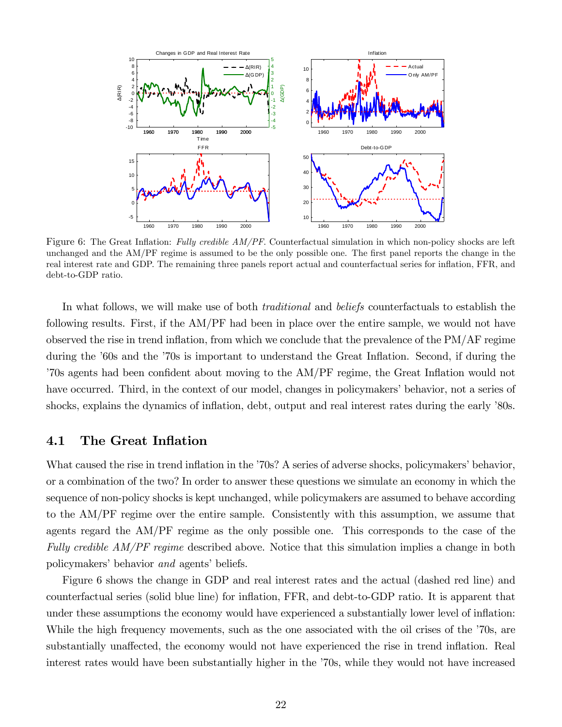

Figure 6: The Great Inflation: Fully credible AM/PF. Counterfactual simulation in which non-policy shocks are left unchanged and the AM/PF regime is assumed to be the only possible one. The first panel reports the change in the real interest rate and GDP. The remaining three panels report actual and counterfactual series for ináation, FFR, and debt-to-GDP ratio.

In what follows, we will make use of both *traditional* and *beliefs* counterfactuals to establish the following results. First, if the AM/PF had been in place over the entire sample, we would not have observed the rise in trend inflation, from which we conclude that the prevalence of the  $PM/AF$  regime during the '60s and the '70s is important to understand the Great Inflation. Second, if during the <sup>7</sup>70s agents had been confident about moving to the AM/PF regime, the Great Inflation would not have occurred. Third, in the context of our model, changes in policymakers' behavior, not a series of shocks, explains the dynamics of inflation, debt, output and real interest rates during the early '80s.

#### 4.1 The Great Inflation

What caused the rise in trend inflation in the '70s? A series of adverse shocks, policymakers' behavior, or a combination of the two? In order to answer these questions we simulate an economy in which the sequence of non-policy shocks is kept unchanged, while policymakers are assumed to behave according to the AM/PF regime over the entire sample. Consistently with this assumption, we assume that agents regard the AM/PF regime as the only possible one. This corresponds to the case of the Fully credible AM/PF regime described above. Notice that this simulation implies a change in both policymakers' behavior and agents' beliefs.

Figure 6 shows the change in GDP and real interest rates and the actual (dashed red line) and counterfactual series (solid blue line) for ináation, FFR, and debt-to-GDP ratio. It is apparent that under these assumptions the economy would have experienced a substantially lower level of ináation: While the high frequency movements, such as the one associated with the oil crises of the  $\dot{70s}$ , are substantially unaffected, the economy would not have experienced the rise in trend inflation. Real interest rates would have been substantially higher in the  $\dot{70s}$ , while they would not have increased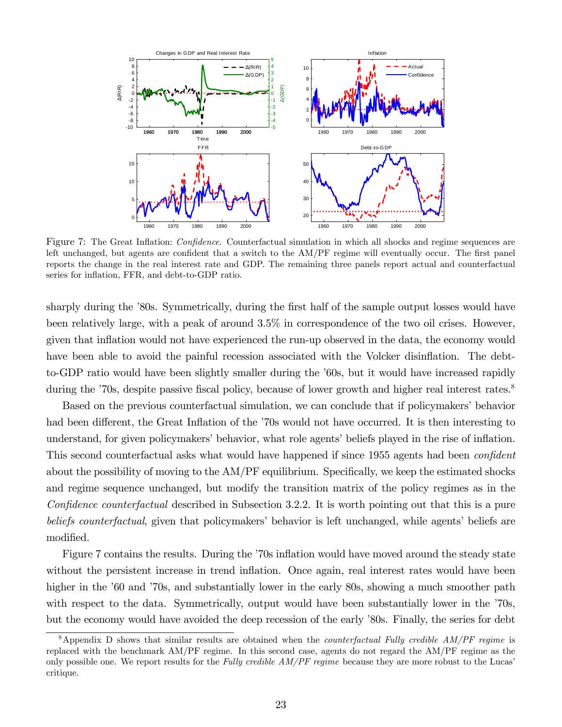

Figure 7: The Great Inflation: *Confidence*. Counterfactual simulation in which all shocks and regime sequences are left unchanged, but agents are confident that a switch to the AM/PF regime will eventually occur. The first panel reports the change in the real interest rate and GDP. The remaining three panels report actual and counterfactual series for inflation, FFR, and debt-to-GDP ratio.

sharply during the '80s. Symmetrically, during the first half of the sample output losses would have been relatively large, with a peak of around 3.5% in correspondence of the two oil crises. However, given that inflation would not have experienced the run-up observed in the data, the economy would have been able to avoid the painful recession associated with the Volcker disinflation. The debtto-GDP ratio would have been slightly smaller during the '60s, but it would have increased rapidly during the  $70s$ , despite passive fiscal policy, because of lower growth and higher real interest rates.<sup>8</sup>

Based on the previous counterfactual simulation, we can conclude that if policymakers' behavior had been different, the Great Inflation of the  $70s$  would not have occurred. It is then interesting to understand, for given policymakers' behavior, what role agents' beliefs played in the rise of inflation. This second counterfactual asks what would have happened if since 1955 agents had been *confident* about the possibility of moving to the  $AM/PF$  equilibrium. Specifically, we keep the estimated shocks and regime sequence unchanged, but modify the transition matrix of the policy regimes as in the Confidence counterfactual described in Subsection 3.2.2. It is worth pointing out that this is a pure beliefs counterfactual, given that policymakers' behavior is left unchanged, while agents' beliefs are modified.

Figure 7 contains the results. During the '70s inflation would have moved around the steady state without the persistent increase in trend inflation. Once again, real interest rates would have been higher in the '60 and '70s, and substantially lower in the early 80s, showing a much smoother path with respect to the data. Symmetrically, output would have been substantially lower in the  $70s$ , but the economy would have avoided the deep recession of the early '80s. Finally, the series for debt

<sup>&</sup>lt;sup>8</sup>Appendix D shows that similar results are obtained when the *counterfactual Fully credible AM/PF regime* is replaced with the benchmark AM/PF regime. In this second case, agents do not regard the AM/PF regime as the only possible one. We report results for the Fully credible  $AM/PF$  regime because they are more robust to the Lucas' critique.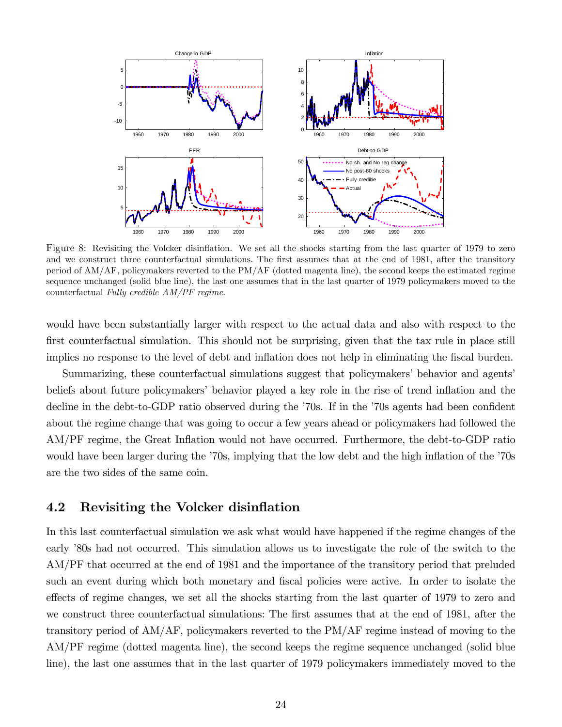

Figure 8: Revisiting the Volcker disinflation. We set all the shocks starting from the last quarter of 1979 to zero and we construct three counterfactual simulations. The first assumes that at the end of 1981, after the transitory period of AM/AF, policymakers reverted to the PM/AF (dotted magenta line), the second keeps the estimated regime sequence unchanged (solid blue line), the last one assumes that in the last quarter of 1979 policymakers moved to the counterfactual Fully credible AM/PF regime.

would have been substantially larger with respect to the actual data and also with respect to the first counterfactual simulation. This should not be surprising, given that the tax rule in place still implies no response to the level of debt and inflation does not help in eliminating the fiscal burden.

Summarizing, these counterfactual simulations suggest that policymakers' behavior and agents' beliefs about future policymakers' behavior played a key role in the rise of trend inflation and the decline in the debt-to-GDP ratio observed during the '70s. If in the '70s agents had been confident about the regime change that was going to occur a few years ahead or policymakers had followed the AM/PF regime, the Great Inflation would not have occurred. Furthermore, the debt-to-GDP ratio would have been larger during the '70s, implying that the low debt and the high inflation of the '70s are the two sides of the same coin.

#### 4.2 Revisiting the Volcker disinflation

In this last counterfactual simulation we ask what would have happened if the regime changes of the early '80s had not occurred. This simulation allows us to investigate the role of the switch to the AM/PF that occurred at the end of 1981 and the importance of the transitory period that preluded such an event during which both monetary and fiscal policies were active. In order to isolate the effects of regime changes, we set all the shocks starting from the last quarter of 1979 to zero and we construct three counterfactual simulations: The first assumes that at the end of 1981, after the transitory period of AM/AF, policymakers reverted to the PM/AF regime instead of moving to the AM/PF regime (dotted magenta line), the second keeps the regime sequence unchanged (solid blue line), the last one assumes that in the last quarter of 1979 policymakers immediately moved to the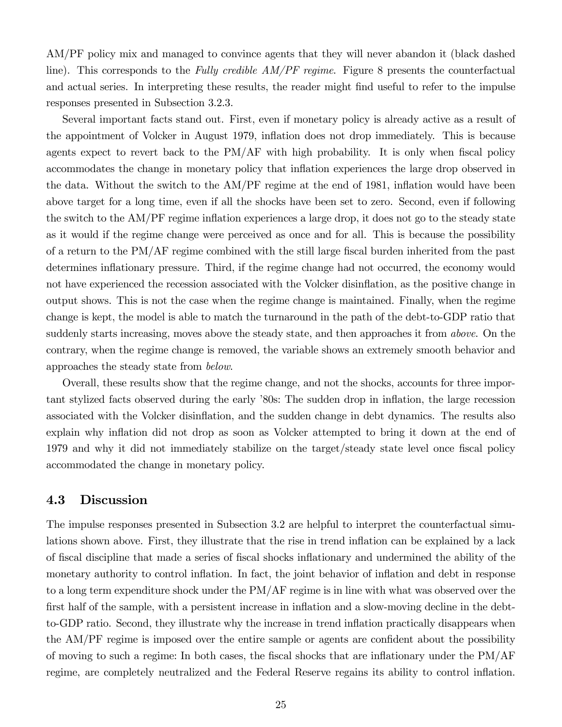AM/PF policy mix and managed to convince agents that they will never abandon it (black dashed line). This corresponds to the Fully credible  $AM/PF$  regime. Figure 8 presents the counterfactual and actual series. In interpreting these results, the reader might find useful to refer to the impulse responses presented in Subsection 3.2.3.

Several important facts stand out. First, even if monetary policy is already active as a result of the appointment of Volcker in August 1979, inflation does not drop immediately. This is because agents expect to revert back to the  $PM/AF$  with high probability. It is only when fiscal policy accommodates the change in monetary policy that inflation experiences the large drop observed in the data. Without the switch to the AM/PF regime at the end of 1981, inflation would have been above target for a long time, even if all the shocks have been set to zero. Second, even if following the switch to the AM/PF regime inflation experiences a large drop, it does not go to the steady state as it would if the regime change were perceived as once and for all. This is because the possibility of a return to the  $PM/AF$  regime combined with the still large fiscal burden inherited from the past determines inflationary pressure. Third, if the regime change had not occurred, the economy would not have experienced the recession associated with the Volcker disinflation, as the positive change in output shows. This is not the case when the regime change is maintained. Finally, when the regime change is kept, the model is able to match the turnaround in the path of the debt-to-GDP ratio that suddenly starts increasing, moves above the steady state, and then approaches it from *above*. On the contrary, when the regime change is removed, the variable shows an extremely smooth behavior and approaches the steady state from below.

Overall, these results show that the regime change, and not the shocks, accounts for three important stylized facts observed during the early '80s: The sudden drop in inflation, the large recession associated with the Volcker disinflation, and the sudden change in debt dynamics. The results also explain why inflation did not drop as soon as Volcker attempted to bring it down at the end of 1979 and why it did not immediately stabilize on the target/steady state level once fiscal policy accommodated the change in monetary policy.

#### 4.3 Discussion

The impulse responses presented in Subsection 3.2 are helpful to interpret the counterfactual simulations shown above. First, they illustrate that the rise in trend inflation can be explained by a lack of Öscal discipline that made a series of Öscal shocks ináationary and undermined the ability of the monetary authority to control inflation. In fact, the joint behavior of inflation and debt in response to a long term expenditure shock under the PM/AF regime is in line with what was observed over the first half of the sample, with a persistent increase in inflation and a slow-moving decline in the debtto-GDP ratio. Second, they illustrate why the increase in trend ináation practically disappears when the AM/PF regime is imposed over the entire sample or agents are confident about the possibility of moving to such a regime: In both cases, the fiscal shocks that are inflationary under the  $PM/AF$ regime, are completely neutralized and the Federal Reserve regains its ability to control inflation.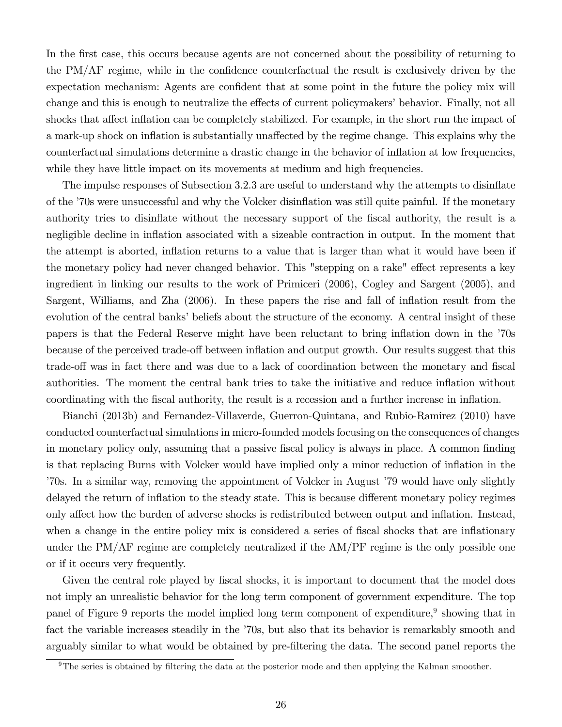In the first case, this occurs because agents are not concerned about the possibility of returning to the  $PM/AF$  regime, while in the confidence counterfactual the result is exclusively driven by the expectation mechanism: Agents are confident that at some point in the future the policy mix will change and this is enough to neutralize the effects of current policymakers' behavior. Finally, not all shocks that affect inflation can be completely stabilized. For example, in the short run the impact of a mark-up shock on inflation is substantially unaffected by the regime change. This explains why the counterfactual simulations determine a drastic change in the behavior of ináation at low frequencies, while they have little impact on its movements at medium and high frequencies.

The impulse responses of Subsection 3.2.3 are useful to understand why the attempts to disinflate of the í70s were unsuccessful and why the Volcker disináation was still quite painful. If the monetary authority tries to disinflate without the necessary support of the fiscal authority, the result is a negligible decline in inflation associated with a sizeable contraction in output. In the moment that the attempt is aborted, inflation returns to a value that is larger than what it would have been if the monetary policy had never changed behavior. This "stepping on a rake" effect represents a key ingredient in linking our results to the work of Primiceri (2006), Cogley and Sargent (2005), and Sargent, Williams, and Zha (2006). In these papers the rise and fall of inflation result from the evolution of the central banks' beliefs about the structure of the economy. A central insight of these papers is that the Federal Reserve might have been reluctant to bring inflation down in the  $\dot{70s}$ because of the perceived trade-off between inflation and output growth. Our results suggest that this trade-off was in fact there and was due to a lack of coordination between the monetary and fiscal authorities. The moment the central bank tries to take the initiative and reduce ináation without coordinating with the fiscal authority, the result is a recession and a further increase in inflation.

Bianchi (2013b) and Fernandez-Villaverde, Guerron-Quintana, and Rubio-Ramirez (2010) have conducted counterfactual simulations in micro-founded models focusing on the consequences of changes in monetary policy only, assuming that a passive fiscal policy is always in place. A common finding is that replacing Burns with Volcker would have implied only a minor reduction of ináation in the í70s. In a similar way, removing the appointment of Volcker in August í79 would have only slightly delayed the return of inflation to the steady state. This is because different monetary policy regimes only affect how the burden of adverse shocks is redistributed between output and inflation. Instead, when a change in the entire policy mix is considered a series of fiscal shocks that are inflationary under the PM/AF regime are completely neutralized if the AM/PF regime is the only possible one or if it occurs very frequently.

Given the central role played by fiscal shocks, it is important to document that the model does not imply an unrealistic behavior for the long term component of government expenditure. The top panel of Figure 9 reports the model implied long term component of expenditure,<sup>9</sup> showing that in fact the variable increases steadily in the  $70s$ , but also that its behavior is remarkably smooth and arguably similar to what would be obtained by pre-Öltering the data. The second panel reports the

 $9$ The series is obtained by filtering the data at the posterior mode and then applying the Kalman smoother.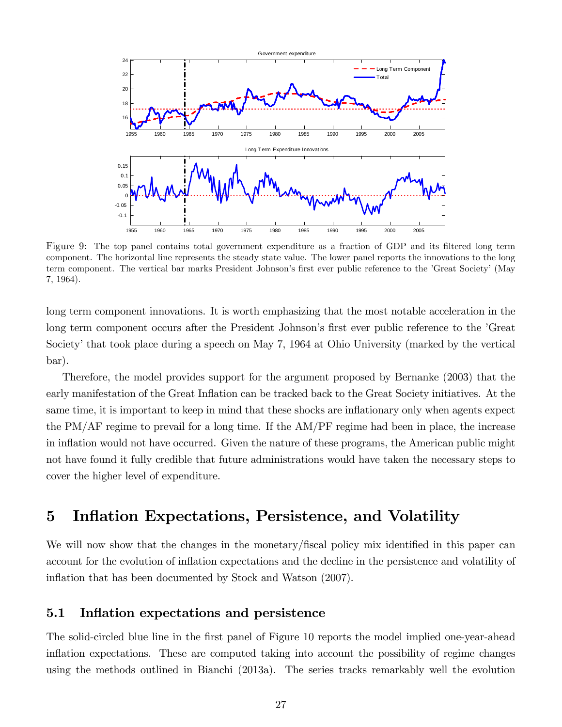

Figure 9: The top panel contains total government expenditure as a fraction of GDP and its filtered long term component. The horizontal line represents the steady state value. The lower panel reports the innovations to the long term component. The vertical bar marks President Johnson's first ever public reference to the 'Great Society' (May 7, 1964).

long term component innovations. It is worth emphasizing that the most notable acceleration in the long term component occurs after the President Johnson's first ever public reference to the 'Great Society' that took place during a speech on May 7, 1964 at Ohio University (marked by the vertical bar).

Therefore, the model provides support for the argument proposed by Bernanke (2003) that the early manifestation of the Great Inflation can be tracked back to the Great Society initiatives. At the same time, it is important to keep in mind that these shocks are inflationary only when agents expect the PM/AF regime to prevail for a long time. If the AM/PF regime had been in place, the increase in inflation would not have occurred. Given the nature of these programs, the American public might not have found it fully credible that future administrations would have taken the necessary steps to cover the higher level of expenditure.

## 5 Inflation Expectations, Persistence, and Volatility

We will now show that the changes in the monetary/fiscal policy mix identified in this paper can account for the evolution of ináation expectations and the decline in the persistence and volatility of inflation that has been documented by Stock and Watson (2007).

#### 5.1 Inflation expectations and persistence

The solid-circled blue line in the first panel of Figure 10 reports the model implied one-year-ahead inflation expectations. These are computed taking into account the possibility of regime changes using the methods outlined in Bianchi (2013a). The series tracks remarkably well the evolution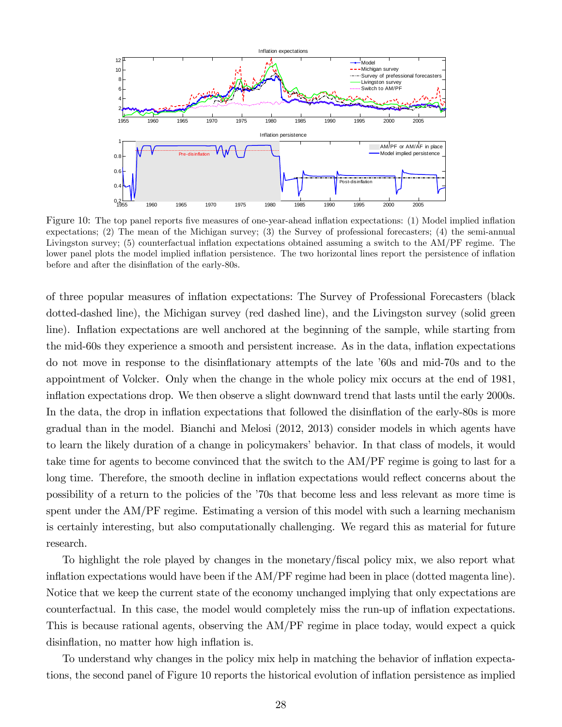

Figure 10: The top panel reports five measures of one-year-ahead inflation expectations: (1) Model implied inflation expectations; (2) The mean of the Michigan survey; (3) the Survey of professional forecasters; (4) the semi-annual Livingston survey; (5) counterfactual inflation expectations obtained assuming a switch to the AM/PF regime. The lower panel plots the model implied inflation persistence. The two horizontal lines report the persistence of inflation before and after the disinflation of the early-80s.

of three popular measures of ináation expectations: The Survey of Professional Forecasters (black dotted-dashed line), the Michigan survey (red dashed line), and the Livingston survey (solid green line). Inflation expectations are well anchored at the beginning of the sample, while starting from the mid-60s they experience a smooth and persistent increase. As in the data, inflation expectations do not move in response to the disináationary attempts of the late í60s and mid-70s and to the appointment of Volcker. Only when the change in the whole policy mix occurs at the end of 1981, inflation expectations drop. We then observe a slight downward trend that lasts until the early 2000s. In the data, the drop in inflation expectations that followed the disinflation of the early-80s is more gradual than in the model. Bianchi and Melosi (2012, 2013) consider models in which agents have to learn the likely duration of a change in policymakers' behavior. In that class of models, it would take time for agents to become convinced that the switch to the AM/PF regime is going to last for a long time. Therefore, the smooth decline in inflation expectations would reflect concerns about the possibility of a return to the policies of the í70s that become less and less relevant as more time is spent under the AM/PF regime. Estimating a version of this model with such a learning mechanism is certainly interesting, but also computationally challenging. We regard this as material for future research.

To highlight the role played by changes in the monetary/fiscal policy mix, we also report what inflation expectations would have been if the  $AM/PF$  regime had been in place (dotted magenta line). Notice that we keep the current state of the economy unchanged implying that only expectations are counterfactual. In this case, the model would completely miss the run-up of ináation expectations. This is because rational agents, observing the AM/PF regime in place today, would expect a quick disinflation, no matter how high inflation is.

To understand why changes in the policy mix help in matching the behavior of inflation expectations, the second panel of Figure 10 reports the historical evolution of inflation persistence as implied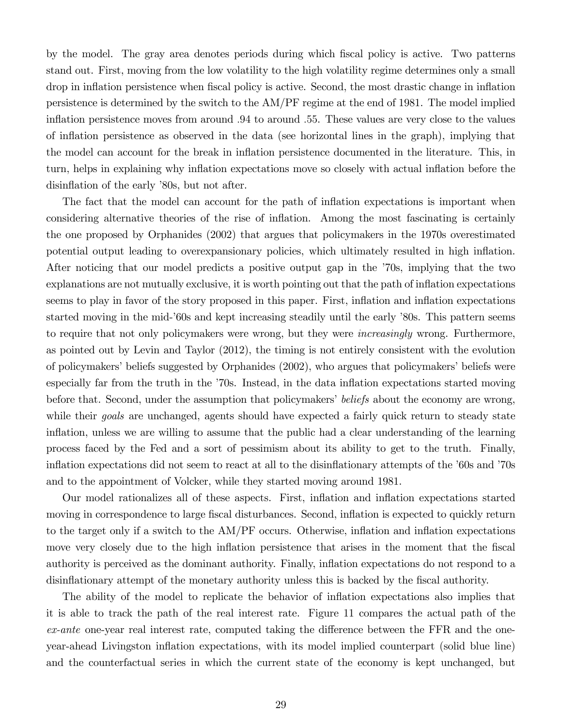by the model. The gray area denotes periods during which Öscal policy is active. Two patterns stand out. First, moving from the low volatility to the high volatility regime determines only a small drop in inflation persistence when fiscal policy is active. Second, the most drastic change in inflation persistence is determined by the switch to the AM/PF regime at the end of 1981. The model implied inflation persistence moves from around  $.94$  to around  $.55$ . These values are very close to the values of inflation persistence as observed in the data (see horizontal lines in the graph), implying that the model can account for the break in ináation persistence documented in the literature. This, in turn, helps in explaining why ináation expectations move so closely with actual ináation before the disinflation of the early '80s, but not after.

The fact that the model can account for the path of inflation expectations is important when considering alternative theories of the rise of inflation. Among the most fascinating is certainly the one proposed by Orphanides (2002) that argues that policymakers in the 1970s overestimated potential output leading to overexpansionary policies, which ultimately resulted in high inflation. After noticing that our model predicts a positive output gap in the í70s, implying that the two explanations are not mutually exclusive, it is worth pointing out that the path of inflation expectations seems to play in favor of the story proposed in this paper. First, inflation and inflation expectations started moving in the mid-'60s and kept increasing steadily until the early '80s. This pattern seems to require that not only policymakers were wrong, but they were increasingly wrong. Furthermore, as pointed out by Levin and Taylor (2012), the timing is not entirely consistent with the evolution of policymakers' beliefs suggested by Orphanides (2002), who argues that policymakers' beliefs were especially far from the truth in the  $\dot{\phantom{a}}$ 70s. Instead, in the data inflation expectations started moving before that. Second, under the assumption that policymakers' beliefs about the economy are wrong, while their *goals* are unchanged, agents should have expected a fairly quick return to steady state inflation, unless we are willing to assume that the public had a clear understanding of the learning process faced by the Fed and a sort of pessimism about its ability to get to the truth. Finally, inflation expectations did not seem to react at all to the disinflationary attempts of the '60s and '70s and to the appointment of Volcker, while they started moving around 1981.

Our model rationalizes all of these aspects. First, inflation and inflation expectations started moving in correspondence to large fiscal disturbances. Second, inflation is expected to quickly return to the target only if a switch to the  $AM/PF$  occurs. Otherwise, inflation and inflation expectations move very closely due to the high inflation persistence that arises in the moment that the fiscal authority is perceived as the dominant authority. Finally, inflation expectations do not respond to a disinflationary attempt of the monetary authority unless this is backed by the fiscal authority.

The ability of the model to replicate the behavior of inflation expectations also implies that it is able to track the path of the real interest rate. Figure 11 compares the actual path of the  $ex$ -ante one-year real interest rate, computed taking the difference between the FFR and the oneyear-ahead Livingston ináation expectations, with its model implied counterpart (solid blue line) and the counterfactual series in which the current state of the economy is kept unchanged, but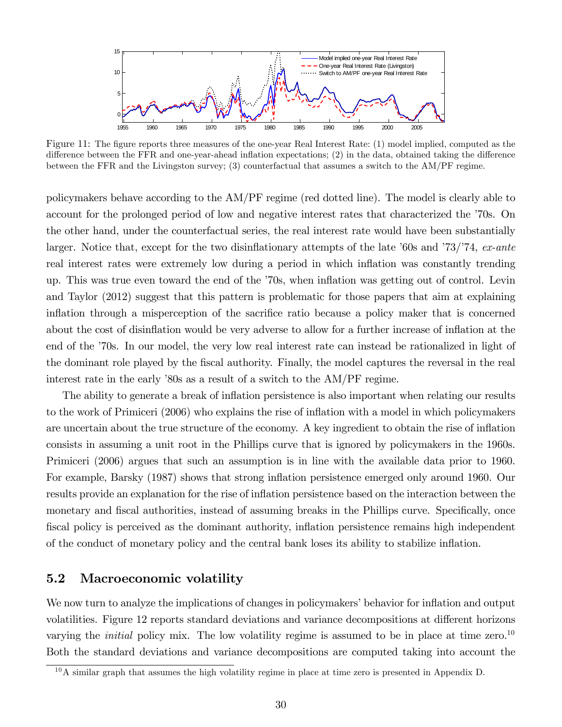

Figure 11: The figure reports three measures of the one-year Real Interest Rate: (1) model implied, computed as the difference between the FFR and one-year-ahead inflation expectations;  $(2)$  in the data, obtained taking the difference between the FFR and the Livingston survey; (3) counterfactual that assumes a switch to the AM/PF regime.

policymakers behave according to the AM/PF regime (red dotted line). The model is clearly able to account for the prolonged period of low and negative interest rates that characterized the  $\dot{\gamma}$ 0s. On the other hand, under the counterfactual series, the real interest rate would have been substantially larger. Notice that, except for the two disinflationary attempts of the late  $60s$  and  $73/74$ , ex-ante real interest rates were extremely low during a period in which inflation was constantly trending up. This was true even toward the end of the í70s, when ináation was getting out of control. Levin and Taylor (2012) suggest that this pattern is problematic for those papers that aim at explaining inflation through a misperception of the sacrifice ratio because a policy maker that is concerned about the cost of disinflation would be very adverse to allow for a further increase of inflation at the end of the '70s. In our model, the very low real interest rate can instead be rationalized in light of the dominant role played by the Öscal authority. Finally, the model captures the reversal in the real interest rate in the early '80s as a result of a switch to the AM/PF regime.

The ability to generate a break of inflation persistence is also important when relating our results to the work of Primiceri (2006) who explains the rise of inflation with a model in which policymakers are uncertain about the true structure of the economy. A key ingredient to obtain the rise of ináation consists in assuming a unit root in the Phillips curve that is ignored by policymakers in the 1960s. Primiceri (2006) argues that such an assumption is in line with the available data prior to 1960. For example, Barsky (1987) shows that strong inflation persistence emerged only around 1960. Our results provide an explanation for the rise of inflation persistence based on the interaction between the monetary and fiscal authorities, instead of assuming breaks in the Phillips curve. Specifically, once fiscal policy is perceived as the dominant authority, inflation persistence remains high independent of the conduct of monetary policy and the central bank loses its ability to stabilize ináation.

#### 5.2 Macroeconomic volatility

We now turn to analyze the implications of changes in policymakers' behavior for inflation and output volatilities. Figure 12 reports standard deviations and variance decompositions at different horizons varying the *initial* policy mix. The low volatility regime is assumed to be in place at time zero.<sup>10</sup> Both the standard deviations and variance decompositions are computed taking into account the

 $10$ A similar graph that assumes the high volatility regime in place at time zero is presented in Appendix D.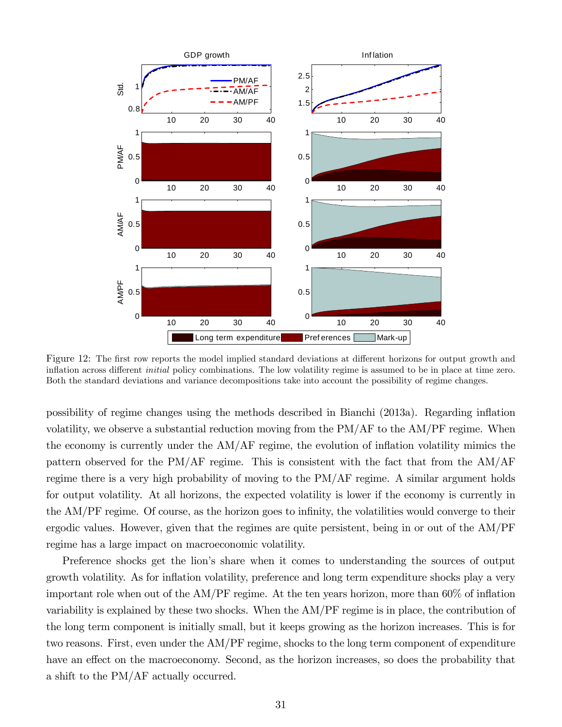

Figure 12: The first row reports the model implied standard deviations at different horizons for output growth and inflation across different *initial* policy combinations. The low volatility regime is assumed to be in place at time zero. Both the standard deviations and variance decompositions take into account the possibility of regime changes.

possibility of regime changes using the methods described in Bianchi (2013a). Regarding ináation volatility, we observe a substantial reduction moving from the PM/AF to the AM/PF regime. When the economy is currently under the  $AM/AF$  regime, the evolution of inflation volatility mimics the pattern observed for the PM/AF regime. This is consistent with the fact that from the AM/AF regime there is a very high probability of moving to the PM/AF regime. A similar argument holds for output volatility. At all horizons, the expected volatility is lower if the economy is currently in the AM/PF regime. Of course, as the horizon goes to infinity, the volatilities would converge to their ergodic values. However, given that the regimes are quite persistent, being in or out of the AM/PF regime has a large impact on macroeconomic volatility.

Preference shocks get the lion's share when it comes to understanding the sources of output growth volatility. As for inflation volatility, preference and long term expenditure shocks play a very important role when out of the  $AM/PF$  regime. At the ten years horizon, more than  $60\%$  of inflation variability is explained by these two shocks. When the AM/PF regime is in place, the contribution of the long term component is initially small, but it keeps growing as the horizon increases. This is for two reasons. First, even under the AM/PF regime, shocks to the long term component of expenditure have an effect on the macroeconomy. Second, as the horizon increases, so does the probability that a shift to the PM/AF actually occurred.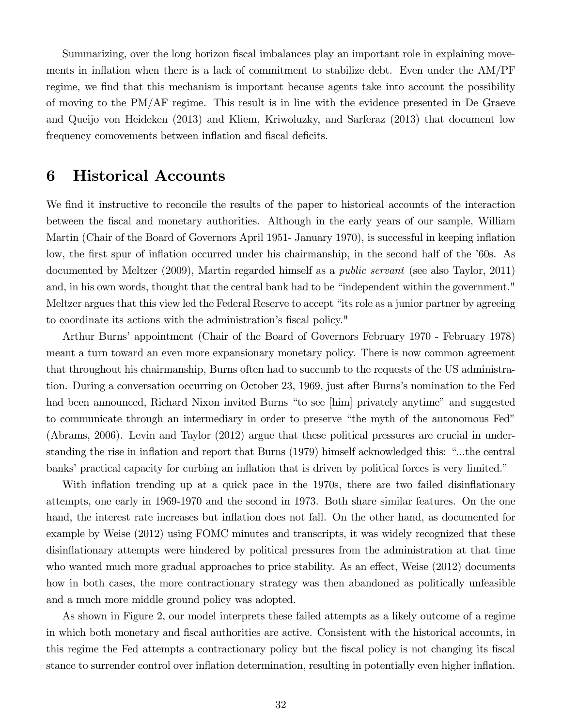Summarizing, over the long horizon fiscal imbalances play an important role in explaining movements in inflation when there is a lack of commitment to stabilize debt. Even under the  $AM/PF$ regime, we find that this mechanism is important because agents take into account the possibility of moving to the PM/AF regime. This result is in line with the evidence presented in De Graeve and Queijo von Heideken (2013) and Kliem, Kriwoluzky, and Sarferaz (2013) that document low frequency comovements between inflation and fiscal deficits.

## 6 Historical Accounts

We find it instructive to reconcile the results of the paper to historical accounts of the interaction between the fiscal and monetary authorities. Although in the early years of our sample, William Martin (Chair of the Board of Governors April 1951- January 1970), is successful in keeping inflation low, the first spur of inflation occurred under his chairmanship, in the second half of the '60s. As documented by Meltzer (2009), Martin regarded himself as a public servant (see also Taylor, 2011) and, in his own words, thought that the central bank had to be "independent within the government." Meltzer argues that this view led the Federal Reserve to accept "its role as a junior partner by agreeing to coordinate its actions with the administration's fiscal policy."

Arthur Burns' appointment (Chair of the Board of Governors February 1970 - February 1978) meant a turn toward an even more expansionary monetary policy. There is now common agreement that throughout his chairmanship, Burns often had to succumb to the requests of the US administration. During a conversation occurring on October 23, 1969, just after Burnsís nomination to the Fed had been announced, Richard Nixon invited Burns "to see [him] privately anytime" and suggested to communicate through an intermediary in order to preserve "the myth of the autonomous Fed" (Abrams, 2006). Levin and Taylor (2012) argue that these political pressures are crucial in understanding the rise in inflation and report that Burns (1979) himself acknowledged this: "...the central banks' practical capacity for curbing an inflation that is driven by political forces is very limited."

With inflation trending up at a quick pace in the 1970s, there are two failed disinflationary attempts, one early in 1969-1970 and the second in 1973. Both share similar features. On the one hand, the interest rate increases but inflation does not fall. On the other hand, as documented for example by Weise (2012) using FOMC minutes and transcripts, it was widely recognized that these disinflationary attempts were hindered by political pressures from the administration at that time who wanted much more gradual approaches to price stability. As an effect, Weise  $(2012)$  documents how in both cases, the more contractionary strategy was then abandoned as politically unfeasible and a much more middle ground policy was adopted.

As shown in Figure 2, our model interprets these failed attempts as a likely outcome of a regime in which both monetary and fiscal authorities are active. Consistent with the historical accounts, in this regime the Fed attempts a contractionary policy but the fiscal policy is not changing its fiscal stance to surrender control over ináation determination, resulting in potentially even higher ináation.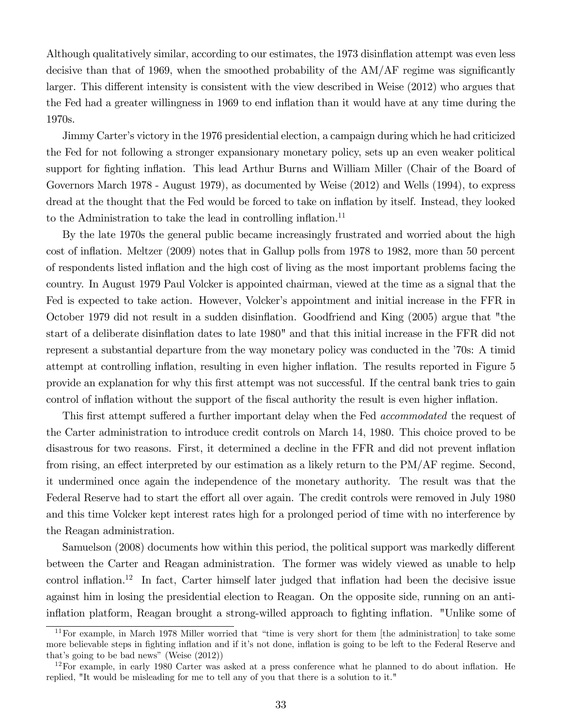Although qualitatively similar, according to our estimates, the 1973 disinflation attempt was even less decisive than that of 1969, when the smoothed probability of the  $AM/AF$  regime was significantly larger. This different intensity is consistent with the view described in Weise (2012) who argues that the Fed had a greater willingness in 1969 to end inflation than it would have at any time during the 1970s.

Jimmy Carter's victory in the 1976 presidential election, a campaign during which he had criticized the Fed for not following a stronger expansionary monetary policy, sets up an even weaker political support for fighting inflation. This lead Arthur Burns and William Miller (Chair of the Board of Governors March 1978 - August 1979), as documented by Weise (2012) and Wells (1994), to express dread at the thought that the Fed would be forced to take on inflation by itself. Instead, they looked to the Administration to take the lead in controlling inflation.<sup>11</sup>

By the late 1970s the general public became increasingly frustrated and worried about the high cost of ináation. Meltzer (2009) notes that in Gallup polls from 1978 to 1982, more than 50 percent of respondents listed ináation and the high cost of living as the most important problems facing the country. In August 1979 Paul Volcker is appointed chairman, viewed at the time as a signal that the Fed is expected to take action. However, Volcker's appointment and initial increase in the FFR in October 1979 did not result in a sudden disináation. Goodfriend and King (2005) argue that "the start of a deliberate disinflation dates to late 1980" and that this initial increase in the FFR did not represent a substantial departure from the way monetary policy was conducted in the  $70s$ : A timid attempt at controlling inflation, resulting in even higher inflation. The results reported in Figure 5 provide an explanation for why this first attempt was not successful. If the central bank tries to gain control of inflation without the support of the fiscal authority the result is even higher inflation.

This first attempt suffered a further important delay when the Fed *accommodated* the request of the Carter administration to introduce credit controls on March 14, 1980. This choice proved to be disastrous for two reasons. First, it determined a decline in the FFR and did not prevent inflation from rising, an effect interpreted by our estimation as a likely return to the  $PM/AF$  regime. Second, it undermined once again the independence of the monetary authority. The result was that the Federal Reserve had to start the effort all over again. The credit controls were removed in July 1980 and this time Volcker kept interest rates high for a prolonged period of time with no interference by the Reagan administration.

Samuelson (2008) documents how within this period, the political support was markedly different between the Carter and Reagan administration. The former was widely viewed as unable to help control inflation.<sup>12</sup> In fact, Carter himself later judged that inflation had been the decisive issue against him in losing the presidential election to Reagan. On the opposite side, running on an antiinflation platform, Reagan brought a strong-willed approach to fighting inflation. "Unlike some of

 $11$  For example, in March 1978 Miller worried that "time is very short for them [the administration] to take some more believable steps in fighting inflation and if it's not done, inflation is going to be left to the Federal Reserve and that's going to be bad news" (Weise  $(2012)$ )

 $12$ For example, in early 1980 Carter was asked at a press conference what he planned to do about inflation. He replied, "It would be misleading for me to tell any of you that there is a solution to it."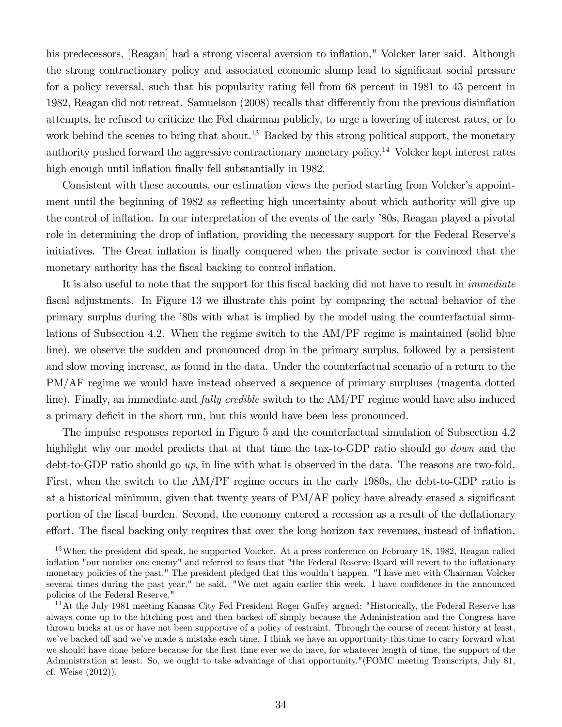his predecessors, [Reagan] had a strong visceral aversion to inflation," Volcker later said. Although the strong contractionary policy and associated economic slump lead to significant social pressure for a policy reversal, such that his popularity rating fell from 68 percent in 1981 to 45 percent in 1982, Reagan did not retreat. Samuelson (2008) recalls that differently from the previous disinflation attempts, he refused to criticize the Fed chairman publicly, to urge a lowering of interest rates, or to work behind the scenes to bring that about.<sup>13</sup> Backed by this strong political support, the monetary authority pushed forward the aggressive contractionary monetary policy.<sup>14</sup> Volcker kept interest rates high enough until inflation finally fell substantially in 1982.

Consistent with these accounts, our estimation views the period starting from Volcker's appointment until the beginning of 1982 as reflecting high uncertainty about which authority will give up the control of inflation. In our interpretation of the events of the early '80s, Reagan played a pivotal role in determining the drop of inflation, providing the necessary support for the Federal Reserve's initiatives. The Great inflation is finally conquered when the private sector is convinced that the monetary authority has the fiscal backing to control inflation.

It is also useful to note that the support for this fiscal backing did not have to result in *immediate* fiscal adjustments. In Figure 13 we illustrate this point by comparing the actual behavior of the primary surplus during the í80s with what is implied by the model using the counterfactual simulations of Subsection 4.2. When the regime switch to the AM/PF regime is maintained (solid blue line), we observe the sudden and pronounced drop in the primary surplus, followed by a persistent and slow moving increase, as found in the data. Under the counterfactual scenario of a return to the PM/AF regime we would have instead observed a sequence of primary surpluses (magenta dotted line). Finally, an immediate and fully credible switch to the AM/PF regime would have also induced a primary deficit in the short run, but this would have been less pronounced.

The impulse responses reported in Figure 5 and the counterfactual simulation of Subsection 4.2 highlight why our model predicts that at that time the tax-to-GDP ratio should go *down* and the debt-to-GDP ratio should go  $up$ , in line with what is observed in the data. The reasons are two-fold. First, when the switch to the AM/PF regime occurs in the early 1980s, the debt-to-GDP ratio is at a historical minimum, given that twenty years of  $PM/AF$  policy have already erased a significant portion of the fiscal burden. Second, the economy entered a recession as a result of the deflationary effort. The fiscal backing only requires that over the long horizon tax revenues, instead of inflation,

<sup>&</sup>lt;sup>13</sup>When the president did speak, he supported Volcker. At a press conference on February 18, 1982, Reagan called inflation "our number one enemy" and referred to fears that "the Federal Reserve Board will revert to the inflationary monetary policies of the past." The president pledged that this wouldnít happen. "I have met with Chairman Volcker several times during the past year," he said. "We met again earlier this week. I have confidence in the announced policies of the Federal Reserve."

<sup>&</sup>lt;sup>14</sup>At the July 1981 meeting Kansas City Fed President Roger Guffey argued: "Historically, the Federal Reserve has always come up to the hitching post and then backed off simply because the Administration and the Congress have thrown bricks at us or have not been supportive of a policy of restraint. Through the course of recent history at least, we've backed off and we've made a mistake each time. I think we have an opportunity this time to carry forward what we should have done before because for the first time ever we do have, for whatever length of time, the support of the Administration at least. So, we ought to take advantage of that opportunity."(FOMC meeting Transcripts, July 81, cf. Weise (2012)).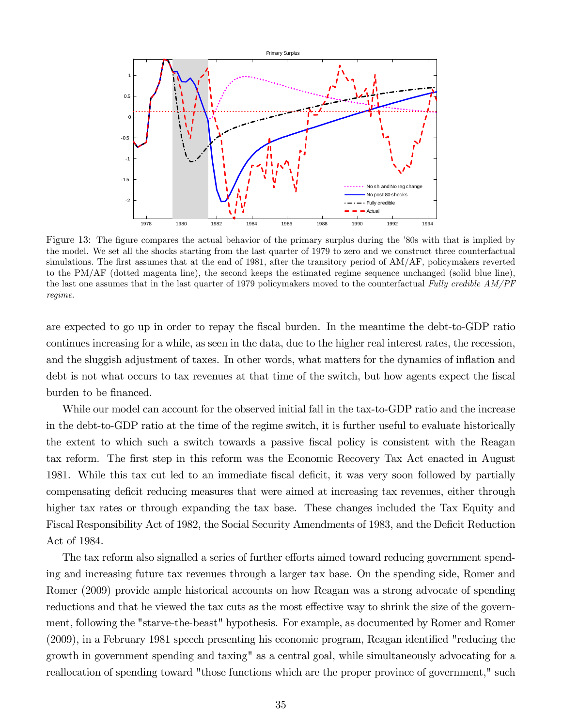

Figure 13: The figure compares the actual behavior of the primary surplus during the '80s with that is implied by the model. We set all the shocks starting from the last quarter of 1979 to zero and we construct three counterfactual simulations. The first assumes that at the end of 1981, after the transitory period of AM/AF, policymakers reverted to the PM/AF (dotted magenta line), the second keeps the estimated regime sequence unchanged (solid blue line), the last one assumes that in the last quarter of 1979 policymakers moved to the counterfactual Fully credible AM/PF regime.

are expected to go up in order to repay the fiscal burden. In the meantime the debt-to-GDP ratio continues increasing for a while, as seen in the data, due to the higher real interest rates, the recession, and the sluggish adjustment of taxes. In other words, what matters for the dynamics of inflation and debt is not what occurs to tax revenues at that time of the switch, but how agents expect the fiscal burden to be financed.

While our model can account for the observed initial fall in the tax-to-GDP ratio and the increase in the debt-to-GDP ratio at the time of the regime switch, it is further useful to evaluate historically the extent to which such a switch towards a passive Öscal policy is consistent with the Reagan tax reform. The first step in this reform was the Economic Recovery Tax Act enacted in August 1981. While this tax cut led to an immediate fiscal deficit, it was very soon followed by partially compensating deficit reducing measures that were aimed at increasing tax revenues, either through higher tax rates or through expanding the tax base. These changes included the Tax Equity and Fiscal Responsibility Act of 1982, the Social Security Amendments of 1983, and the Deficit Reduction Act of 1984.

The tax reform also signalled a series of further efforts aimed toward reducing government spending and increasing future tax revenues through a larger tax base. On the spending side, Romer and Romer (2009) provide ample historical accounts on how Reagan was a strong advocate of spending reductions and that he viewed the tax cuts as the most effective way to shrink the size of the government, following the "starve-the-beast" hypothesis. For example, as documented by Romer and Romer  $(2009)$ , in a February 1981 speech presenting his economic program, Reagan identified "reducing the growth in government spending and taxing" as a central goal, while simultaneously advocating for a reallocation of spending toward "those functions which are the proper province of government," such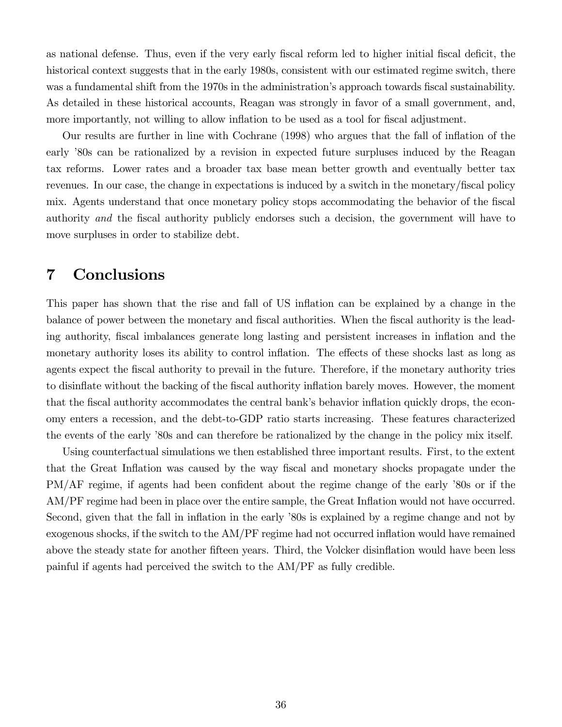as national defense. Thus, even if the very early fiscal reform led to higher initial fiscal deficit, the historical context suggests that in the early 1980s, consistent with our estimated regime switch, there was a fundamental shift from the 1970s in the administration's approach towards fiscal sustainability. As detailed in these historical accounts, Reagan was strongly in favor of a small government, and, more importantly, not willing to allow inflation to be used as a tool for fiscal adjustment.

Our results are further in line with Cochrane (1998) who argues that the fall of inflation of the early '80s can be rationalized by a revision in expected future surpluses induced by the Reagan tax reforms. Lower rates and a broader tax base mean better growth and eventually better tax revenues. In our case, the change in expectations is induced by a switch in the monetary/fiscal policy mix. Agents understand that once monetary policy stops accommodating the behavior of the fiscal authority and the fiscal authority publicly endorses such a decision, the government will have to move surpluses in order to stabilize debt.

## 7 Conclusions

This paper has shown that the rise and fall of US inflation can be explained by a change in the balance of power between the monetary and fiscal authorities. When the fiscal authority is the leading authority, fiscal imbalances generate long lasting and persistent increases in inflation and the monetary authority loses its ability to control inflation. The effects of these shocks last as long as agents expect the fiscal authority to prevail in the future. Therefore, if the monetary authority tries to disinflate without the backing of the fiscal authority inflation barely moves. However, the moment that the fiscal authority accommodates the central bank's behavior inflation quickly drops, the economy enters a recession, and the debt-to-GDP ratio starts increasing. These features characterized the events of the early '80s and can therefore be rationalized by the change in the policy mix itself.

Using counterfactual simulations we then established three important results. First, to the extent that the Great Inflation was caused by the way fiscal and monetary shocks propagate under the PM/AF regime, if agents had been confident about the regime change of the early '80s or if the AM/PF regime had been in place over the entire sample, the Great Inflation would not have occurred. Second, given that the fall in inflation in the early '80s is explained by a regime change and not by exogenous shocks, if the switch to the AM/PF regime had not occurred inflation would have remained above the steady state for another fifteen years. Third, the Volcker disinflation would have been less painful if agents had perceived the switch to the AM/PF as fully credible.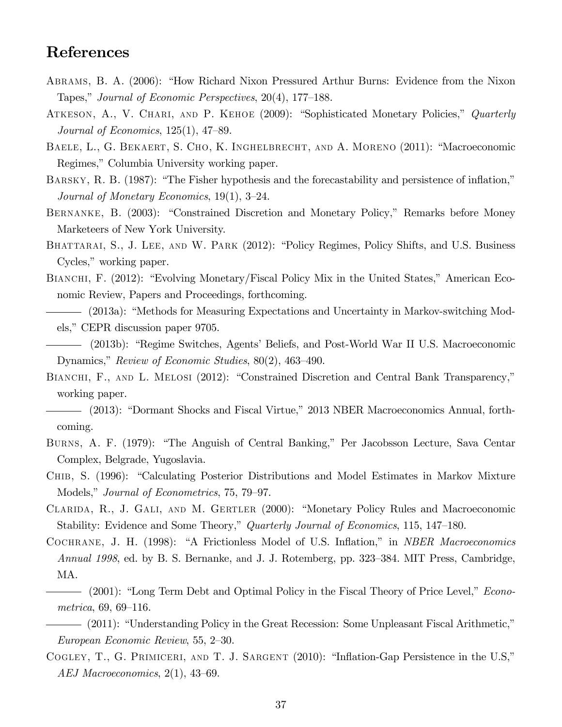## References

- ABRAMS, B. A. (2006): "How Richard Nixon Pressured Arthur Burns: Evidence from the Nixon Tapes," Journal of Economic Perspectives,  $20(4)$ , 177–188.
- ATKESON, A., V. CHARI, AND P. KEHOE (2009): "Sophisticated Monetary Policies," Quarterly Journal of Economics,  $125(1)$ ,  $47-89$ .
- BAELE, L., G. BEKAERT, S. CHO, K. INGHELBRECHT, AND A. MORENO (2011): "Macroeconomic Regimes," Columbia University working paper.
- BARSKY, R. B. (1987): "The Fisher hypothesis and the forecastability and persistence of inflation," Journal of Monetary Economics,  $19(1)$ ,  $3-24$ .
- BERNANKE, B. (2003): "Constrained Discretion and Monetary Policy," Remarks before Money Marketeers of New York University.
- BHATTARAI, S., J. LEE, AND W. PARK (2012): "Policy Regimes, Policy Shifts, and U.S. Business Cycles," working paper.
- BIANCHI, F.  $(2012)$ : "Evolving Monetary/Fiscal Policy Mix in the United States," American Economic Review, Papers and Proceedings, forthcoming.
- (2013a): "Methods for Measuring Expectations and Uncertainty in Markov-switching Models," CEPR discussion paper 9705.
- (2013b): "Regime Switches, Agents' Beliefs, and Post-World War II U.S. Macroeconomic Dynamics," Review of Economic Studies,  $80(2)$ , 463–490.
- BIANCHI, F., AND L. MELOSI (2012): "Constrained Discretion and Central Bank Transparency," working paper.
- (2013): "Dormant Shocks and Fiscal Virtue," 2013 NBER Macroeconomics Annual, forthcoming.
- BURNS, A. F. (1979): "The Anguish of Central Banking," Per Jacobsson Lecture, Sava Centar Complex, Belgrade, Yugoslavia.
- CHIB, S. (1996): "Calculating Posterior Distributions and Model Estimates in Markov Mixture Models," Journal of Econometrics, 75, 79–97.
- CLARIDA, R., J. GALI, AND M. GERTLER (2000): "Monetary Policy Rules and Macroeconomic Stability: Evidence and Some Theory," Quarterly Journal of Economics, 115, 147–180.
- COCHRANE, J. H. (1998): "A Frictionless Model of U.S. Inflation," in *NBER Macroeconomics* Annual 1998, ed. by B. S. Bernanke, and J. J. Rotemberg, pp. 323–384. MIT Press, Cambridge, MA.
- $-$  (2001): "Long Term Debt and Optimal Policy in the Fiscal Theory of Price Level," *Econo* $metrica, 69, 69-116.$
- (2011): "Understanding Policy in the Great Recession: Some Unpleasant Fiscal Arithmetic," European Economic Review, 55, 2-30.
- COGLEY, T., G. PRIMICERI, AND T. J. SARGENT  $(2010)$ : "Inflation-Gap Persistence in the U.S," AEJ Macroeconomics,  $2(1)$ ,  $43-69$ .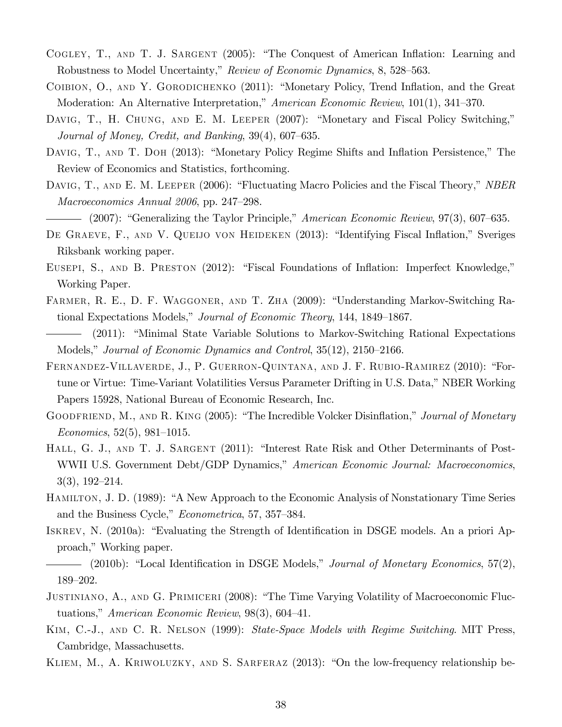- COGLEY, T., AND T. J. SARGENT (2005): "The Conquest of American Inflation: Learning and Robustness to Model Uncertainty," Review of Economic Dynamics, 8, 528–563.
- COIBION, O., AND Y. GORODICHENKO (2011): "Monetary Policy, Trend Inflation, and the Great Moderation: An Alternative Interpretation," American Economic Review,  $101(1)$ , 341–370.
- DAVIG, T., H. CHUNG, AND E. M. LEEPER (2007): "Monetary and Fiscal Policy Switching," Journal of Money, Credit, and Banking,  $39(4)$ ,  $607-635$ .
- DAVIG, T., AND T. DOH (2013): "Monetary Policy Regime Shifts and Inflation Persistence," The Review of Economics and Statistics, forthcoming.
- DAVIG, T., AND E. M. LEEPER (2006): "Fluctuating Macro Policies and the Fiscal Theory," NBER Macroeconomics Annual  $2006$ , pp. 247–298.

- DE GRAEVE, F., AND V. QUEIJO VON HEIDEKEN (2013): "Identifying Fiscal Inflation," Sveriges Riksbank working paper.
- EUSEPI, S., AND B. PRESTON (2012): "Fiscal Foundations of Inflation: Imperfect Knowledge," Working Paper.
- FARMER, R. E., D. F. WAGGONER, AND T. ZHA (2009): "Understanding Markov-Switching Rational Expectations Models," Journal of Economic Theory, 144, 1849–1867.
- (2011): "Minimal State Variable Solutions to Markov-Switching Rational Expectations Models," Journal of Economic Dynamics and Control,  $35(12)$ ,  $2150-2166$ .
- FERNANDEZ-VILLAVERDE, J., P. GUERRON-QUINTANA, AND J. F. RUBIO-RAMIREZ (2010): "Fortune or Virtue: Time-Variant Volatilities Versus Parameter Drifting in U.S. Data," NBER Working Papers 15928, National Bureau of Economic Research, Inc.
- GOODFRIEND, M., AND R. KING (2005): "The Incredible Volcker Disinflation," Journal of Monetary Economics, 52(5), 981–1015.
- HALL, G. J., AND T. J. SARGENT (2011): "Interest Rate Risk and Other Determinants of Post-WWII U.S. Government Debt/GDP Dynamics," American Economic Journal: Macroeconomics,  $3(3), 192-214.$
- HAMILTON, J. D. (1989): "A New Approach to the Economic Analysis of Nonstationary Time Series and the Business Cycle," *Econometrica*, 57, 357–384.
- ISKREV, N. (2010a): "Evaluating the Strength of Identification in DSGE models. An a priori Approach," Working paper.

- JUSTINIANO, A., AND G. PRIMICERI (2008): "The Time Varying Volatility of Macroeconomic Fluctuations," American Economic Review,  $98(3)$ , 604–41.
- Kim, C.-J., and C. R. Nelson (1999): State-Space Models with Regime Switching. MIT Press, Cambridge, Massachusetts.
- KLIEM, M., A. KRIWOLUZKY, AND S. SARFERAZ  $(2013)$ : "On the low-frequency relationship be-

<sup>(2007): &</sup>quot;Generalizing the Taylor Principle," American Economic Review,  $97(3)$ , 607–635.

 $-$  (2010b): "Local Identification in DSGE Models," Journal of Monetary Economics, 57(2), 189-202.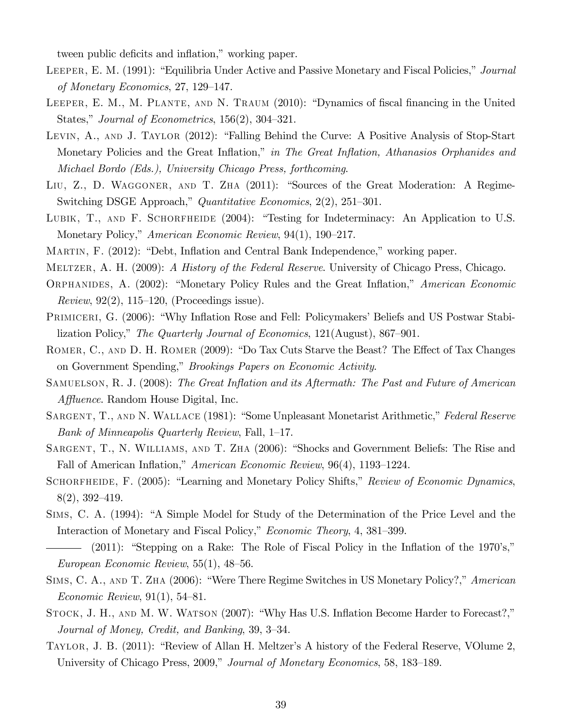tween public deficits and inflation," working paper.

- LEEPER, E. M. (1991): "Equilibria Under Active and Passive Monetary and Fiscal Policies," Journal of Monetary Economics,  $27, 129-147$ .
- LEEPER, E. M., M. PLANTE, AND N. TRAUM (2010): "Dynamics of fiscal financing in the United States," Journal of Econometrics,  $156(2)$ ,  $304-321$ .
- LEVIN, A., AND J. TAYLOR (2012): "Falling Behind the Curve: A Positive Analysis of Stop-Start Monetary Policies and the Great Inflation," in The Great Inflation, Athanasios Orphanides and Michael Bordo (Eds.), University Chicago Press, forthcoming.
- LIU, Z., D. WAGGONER, AND T. ZHA (2011): "Sources of the Great Moderation: A Regime-Switching DSGE Approach," Quantitative Economics,  $2(2)$ ,  $251-301$ .
- LUBIK, T., AND F. SCHORFHEIDE  $(2004)$ : "Testing for Indeterminacy: An Application to U.S. Monetary Policy," American Economic Review, 94(1), 190–217.
- MARTIN, F. (2012): "Debt, Inflation and Central Bank Independence," working paper.
- MELTZER, A. H. (2009): A History of the Federal Reserve. University of Chicago Press, Chicago.
- ORPHANIDES, A. (2002): "Monetary Policy Rules and the Great Inflation," American Economic Review,  $92(2)$ , 115–120, (Proceedings issue).
- PRIMICERI, G. (2006): "Why Inflation Rose and Fell: Policymakers' Beliefs and US Postwar Stabilization Policy," The Quarterly Journal of Economics,  $121(August)$ , 867–901.
- ROMER, C., AND D. H. ROMER (2009): "Do Tax Cuts Starve the Beast? The Effect of Tax Changes on Government Spending," Brookings Papers on Economic Activity.
- SAMUELSON, R. J. (2008): The Great Inflation and its Aftermath: The Past and Future of American  $Affluence$ . Random House Digital, Inc.
- SARGENT, T., AND N. WALLACE (1981): "Some Unpleasant Monetarist Arithmetic," Federal Reserve Bank of Minneapolis Quarterly Review, Fall, 1-17.
- SARGENT, T., N. WILLIAMS, AND T. ZHA (2006): "Shocks and Government Beliefs: The Rise and Fall of American Inflation," American Economic Review,  $96(4)$ , 1193–1224.
- SCHORFHEIDE, F. (2005): "Learning and Monetary Policy Shifts," Review of Economic Dynamics,  $8(2), 392 - 419.$
- SIMS, C. A. (1994): "A Simple Model for Study of the Determination of the Price Level and the Interaction of Monetary and Fiscal Policy," Economic Theory, 4, 381–399.
- $-$  (2011): "Stepping on a Rake: The Role of Fiscal Policy in the Inflation of the 1970's," European Economic Review,  $55(1)$ ,  $48-56$ .
- SIMS, C. A., AND T. ZHA (2006): "Were There Regime Switches in US Monetary Policy?," American Economic Review,  $91(1)$ , 54–81.
- STOCK, J. H., AND M. W. WATSON (2007): "Why Has U.S. Inflation Become Harder to Forecast?," Journal of Money, Credit, and Banking, 39, 3-34.
- TAYLOR, J. B. (2011): "Review of Allan H. Meltzer's A history of the Federal Reserve, VOlume 2, University of Chicago Press, 2009," Journal of Monetary Economics, 58, 183–189.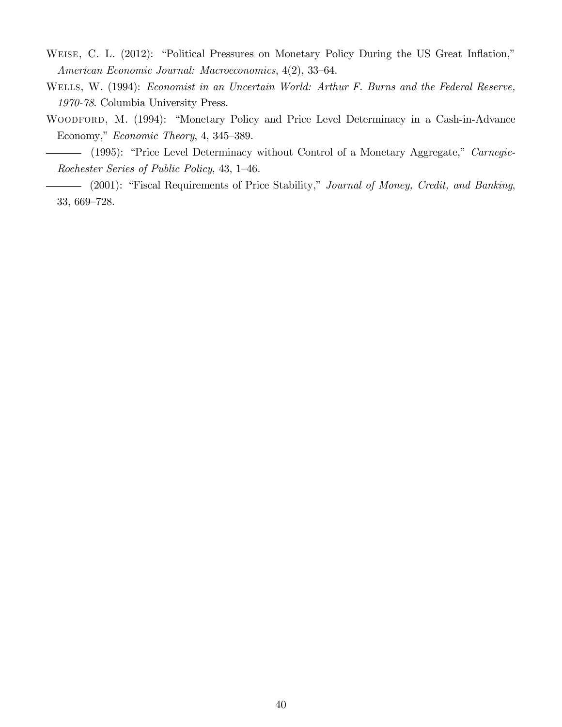- WEISE, C. L. (2012): "Political Pressures on Monetary Policy During the US Great Inflation," American Economic Journal: Macroeconomics, 4(2), 33-64.
- Wells, W. (1994): Economist in an Uncertain World: Arthur F. Burns and the Federal Reserve, 1970-78. Columbia University Press.
- WOODFORD, M. (1994): "Monetary Policy and Price Level Determinacy in a Cash-in-Advance Economy," Economic Theory, 4, 345–389.
	- (1995): "Price Level Determinacy without Control of a Monetary Aggregate," Carnegie-Rochester Series of Public Policy, 43, 1-46.
- (2001): "Fiscal Requirements of Price Stability," Journal of Money, Credit, and Banking, 33, 669-728.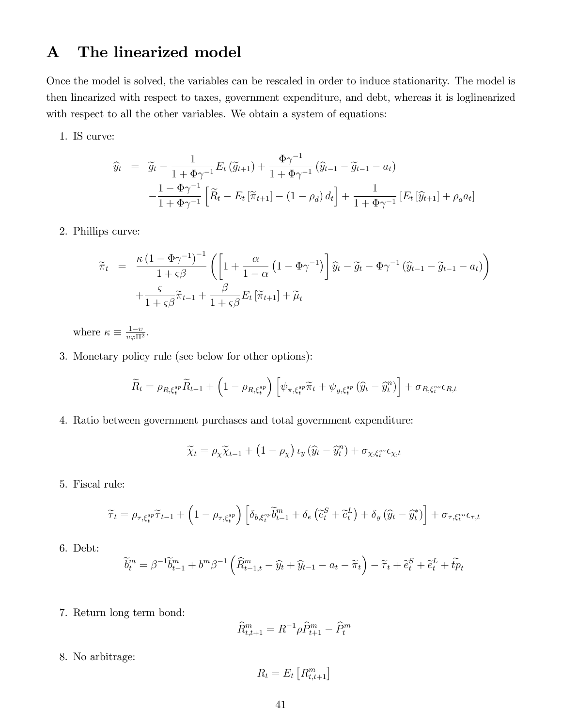## A The linearized model

Once the model is solved, the variables can be rescaled in order to induce stationarity. The model is then linearized with respect to taxes, government expenditure, and debt, whereas it is loglinearized with respect to all the other variables. We obtain a system of equations:

1. IS curve:

$$
\widehat{y}_t = \widetilde{g}_t - \frac{1}{1 + \Phi \gamma^{-1}} E_t (\widetilde{g}_{t+1}) + \frac{\Phi \gamma^{-1}}{1 + \Phi \gamma^{-1}} (\widehat{y}_{t-1} - \widetilde{g}_{t-1} - a_t) \n- \frac{1 - \Phi \gamma^{-1}}{1 + \Phi \gamma^{-1}} \left[ \widetilde{R}_t - E_t [\widetilde{\pi}_{t+1}] - (1 - \rho_d) d_t \right] + \frac{1}{1 + \Phi \gamma^{-1}} \left[ E_t [\widehat{y}_{t+1}] + \rho_a a_t \right]
$$

2. Phillips curve:

$$
\widetilde{\pi}_t = \frac{\kappa (1 - \Phi \gamma^{-1})^{-1}}{1 + \varsigma \beta} \left( \left[ 1 + \frac{\alpha}{1 - \alpha} \left( 1 - \Phi \gamma^{-1} \right) \right] \widehat{y}_t - \widetilde{g}_t - \Phi \gamma^{-1} \left( \widehat{y}_{t-1} - \widetilde{g}_{t-1} - a_t \right) \right) + \frac{\varsigma}{1 + \varsigma \beta} \widetilde{\pi}_{t-1} + \frac{\beta}{1 + \varsigma \beta} E_t \left[ \widetilde{\pi}_{t+1} \right] + \widetilde{\mu}_t
$$

where  $\kappa \equiv \frac{1-v}{v\varphi\Pi^2}$ .

3. Monetary policy rule (see below for other options):

$$
\widetilde{R}_t = \rho_{R,\xi_t^{sp}} \widetilde{R}_{t-1} + \left(1 - \rho_{R,\xi_t^{sp}}\right) \left[\psi_{\pi,\xi_t^{sp}} \widetilde{\pi}_t + \psi_{y,\xi_t^{sp}} \left(\widehat{y}_t - \widehat{y}_t^{n}\right)\right] + \sigma_{R,\xi_t^{vo}} \epsilon_{R,t}
$$

4. Ratio between government purchases and total government expenditure:

$$
\widetilde{\chi}_t = \rho_\chi \widetilde{\chi}_{t-1} + \left(1-\rho_\chi\right) \iota_y \left(\widehat{y}_t - \widehat{y}_t^n\right) + \sigma_{\chi, \xi_t^{vo}} \epsilon_{\chi, t}
$$

5. Fiscal rule:

$$
\widetilde{\tau}_{t} = \rho_{\tau,\xi_{t}^{sp}} \widetilde{\tau}_{t-1} + \left(1 - \rho_{\tau,\xi_{t}^{sp}}\right) \left[\delta_{b,\xi_{t}^{sp}} \widetilde{b}_{t-1}^{m} + \delta_{e}\left(\widetilde{e}_{t}^{S} + \widetilde{e}_{t}^{L}\right) + \delta_{y}\left(\widehat{y}_{t} - \widehat{y}_{t}^{*}\right)\right] + \sigma_{\tau,\xi_{t}^{vo}} \epsilon_{\tau,t}
$$

6. Debt:

$$
\widetilde{b}^m_t = \beta^{-1}\widetilde{b}^m_{t-1} + b^m\beta^{-1}\left(\widehat{R}^m_{t-1,t} - \widehat{y}_t + \widehat{y}_{t-1} - a_t - \widetilde{\pi}_t\right) - \widetilde{\tau}_t + \widetilde{e}^S_t + \widetilde{e}^L_t + \widetilde{tp}_t
$$

7. Return long term bond:

$$
\widehat{R}^m_{t,t+1} = R^{-1} \rho \widehat{P}^m_{t+1} - \widehat{P}^m_t
$$

8. No arbitrage:

$$
R_t = E_t \left[ R^m_{t,t+1} \right]
$$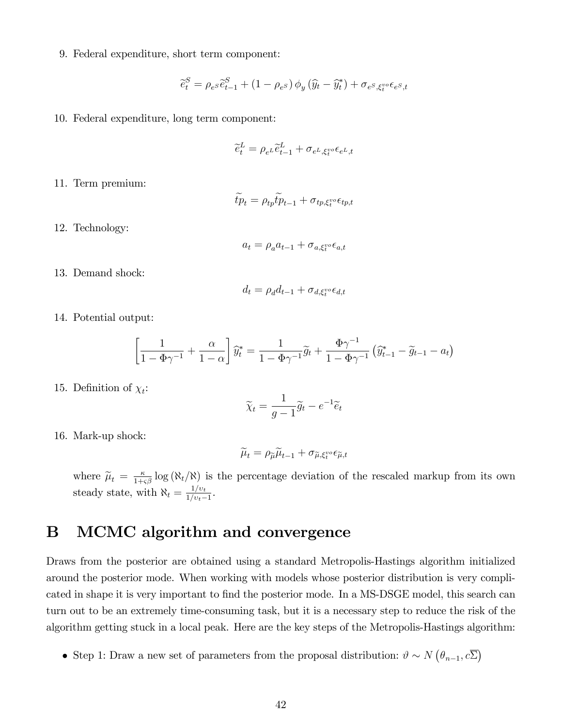9. Federal expenditure, short term component:

$$
\widetilde{e}_t^S = \rho_{e^S} \widetilde{e}_{t-1}^S + (1 - \rho_{e^S}) \phi_y (\widehat{y}_t - \widehat{y}_t^*) + \sigma_{e^S, \xi_t^{vo}} \epsilon_{e^S, t}
$$

10. Federal expenditure, long term component:

$$
\widetilde{e}_t^L = \rho_{e^L} \widetilde{e}_{t-1}^L + \sigma_{e^L, \xi_t^{vo}} \epsilon_{e^L, t}
$$

11. Term premium:

$$
\widetilde{tp}_t = \rho_{tp} \widetilde{tp}_{t-1} + \sigma_{tp, \xi_t^{vo} \epsilon_{tp, t}}
$$

12. Technology:

$$
a_t = \rho_a a_{t-1} + \sigma_{a,\xi_t^{vo}\epsilon_{a,t}}
$$

13. Demand shock:

$$
d_t = \rho_d d_{t-1} + \sigma_{d, \xi_t^{vo} \in d, t}
$$

14. Potential output:

$$
\left[\frac{1}{1-\Phi\gamma^{-1}}+\frac{\alpha}{1-\alpha}\right]\hat{y}_t^* = \frac{1}{1-\Phi\gamma^{-1}}\tilde{g}_t + \frac{\Phi\gamma^{-1}}{1-\Phi\gamma^{-1}}\left(\hat{y}_{t-1}^*-\tilde{g}_{t-1}-a_t\right)
$$

15. Definition of  $\chi_t$ :

$$
\widetilde{\chi}_t = \frac{1}{g-1}\widetilde{g}_t - e^{-1}\widetilde{e}_t
$$

16. Mark-up shock:

$$
\widetilde{\mu}_t = \rho_{\widetilde{\mu}} \widetilde{\mu}_{t-1} + \sigma_{\widetilde{\mu}, \xi_t^{vo}} \epsilon_{\widetilde{\mu}, t}
$$

where  $\tilde{\mu}_t = \frac{\kappa}{1+\varsigma\beta} \log (\aleph_t/\aleph)$  is the percentage deviation of the rescaled markup from its own steady state, with  $\aleph_t = \frac{1/v_t}{1/v_t - t}$  $\frac{1/v_t}{1/v_t-1}$ .

## B MCMC algorithm and convergence

Draws from the posterior are obtained using a standard Metropolis-Hastings algorithm initialized around the posterior mode. When working with models whose posterior distribution is very complicated in shape it is very important to find the posterior mode. In a MS-DSGE model, this search can turn out to be an extremely time-consuming task, but it is a necessary step to reduce the risk of the algorithm getting stuck in a local peak. Here are the key steps of the Metropolis-Hastings algorithm:

• Step 1: Draw a new set of parameters from the proposal distribution:  $\vartheta \sim N(\theta_{n-1}, c\overline{\Sigma})$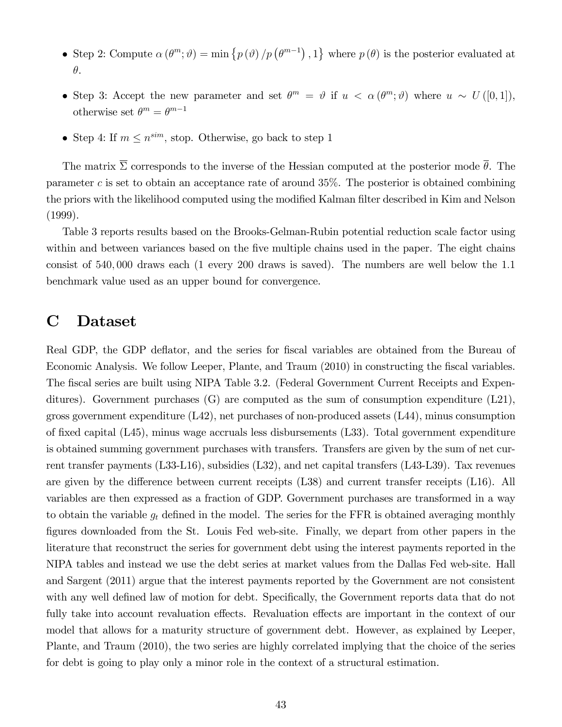- Step 2: Compute  $\alpha(\theta^m; \vartheta) = \min \{p(\vartheta)/p(\theta^{m-1}), 1\}$  where  $p(\theta)$  is the posterior evaluated at  $\theta$ .
- Step 3: Accept the new parameter and set  $\theta^m = \vartheta$  if  $u < \alpha(\theta^m; \vartheta)$  where  $u \sim U([0, 1]),$ otherwise set  $\theta^m = \theta^{m-1}$
- Step 4: If  $m \leq n^{sim}$ , stop. Otherwise, go back to step 1

The matrix  $\overline{\Sigma}$  corresponds to the inverse of the Hessian computed at the posterior mode  $\overline{\theta}$ . The parameter c is set to obtain an acceptance rate of around  $35\%$ . The posterior is obtained combining the priors with the likelihood computed using the modified Kalman filter described in Kim and Nelson (1999).

Table 3 reports results based on the Brooks-Gelman-Rubin potential reduction scale factor using within and between variances based on the five multiple chains used in the paper. The eight chains consist of 540; 000 draws each (1 every 200 draws is saved). The numbers are well below the 1:1 benchmark value used as an upper bound for convergence.

## C Dataset

Real GDP, the GDP deflator, and the series for fiscal variables are obtained from the Bureau of Economic Analysis. We follow Leeper, Plante, and Traum (2010) in constructing the fiscal variables. The fiscal series are built using NIPA Table 3.2. (Federal Government Current Receipts and Expenditures). Government purchases (G) are computed as the sum of consumption expenditure (L21), gross government expenditure  $(L42)$ , net purchases of non-produced assets  $(L44)$ , minus consumption of fixed capital  $(L45)$ , minus wage accruals less disbursements  $(L33)$ . Total government expenditure is obtained summing government purchases with transfers. Transfers are given by the sum of net current transfer payments (L33-L16), subsidies (L32), and net capital transfers (L43-L39). Tax revenues are given by the difference between current receipts  $(L38)$  and current transfer receipts  $(L16)$ . All variables are then expressed as a fraction of GDP. Government purchases are transformed in a way to obtain the variable  $g_t$  defined in the model. The series for the FFR is obtained averaging monthly figures downloaded from the St. Louis Fed web-site. Finally, we depart from other papers in the literature that reconstruct the series for government debt using the interest payments reported in the NIPA tables and instead we use the debt series at market values from the Dallas Fed web-site. Hall and Sargent (2011) argue that the interest payments reported by the Government are not consistent with any well defined law of motion for debt. Specifically, the Government reports data that do not fully take into account revaluation effects. Revaluation effects are important in the context of our model that allows for a maturity structure of government debt. However, as explained by Leeper, Plante, and Traum (2010), the two series are highly correlated implying that the choice of the series for debt is going to play only a minor role in the context of a structural estimation.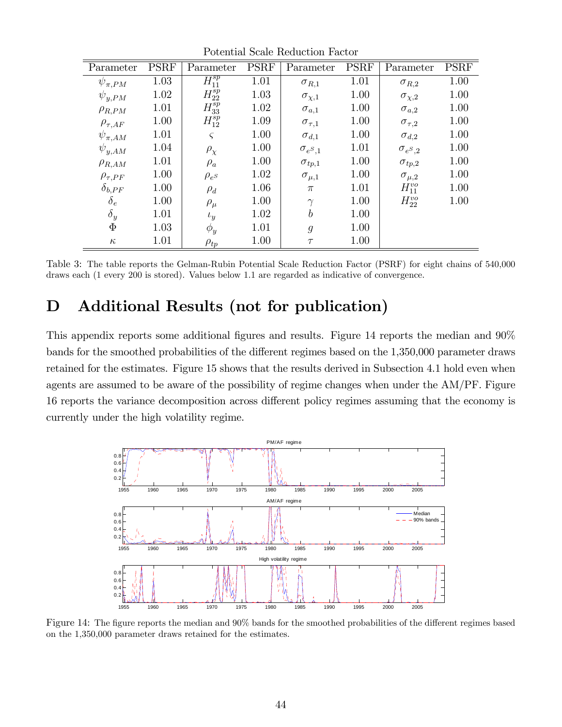| т отспитат реакт теснетон тастон |             |                          |             |                   |             |                   |             |
|----------------------------------|-------------|--------------------------|-------------|-------------------|-------------|-------------------|-------------|
| Parameter                        | <b>PSRF</b> | Parameter                | <b>PSRF</b> | Parameter         | <b>PSRF</b> | Parameter         | <b>PSRF</b> |
| $\psi_{\pi,PM}$                  | 1.03        | $\overline{H^{sp}_{11}}$ | 1.01        | $\sigma_{R,1}$    | 1.01        | $\sigma_{R,2}$    | 1.00        |
| $\psi_{y,PM}$                    | 1.02        | $H_{22}^{sp}$            | 1.03        | $\sigma_{\chi,1}$ | 1.00        | $\sigma_{\chi,2}$ | 1.00        |
| $\rho_{R,PM}$                    | 1.01        | $H^{sp}_{33}$            | 1.02        | $\sigma_{a,1}$    | 1.00        | $\sigma_{a,2}$    | 1.00        |
| $\rho_{\tau,AF}$                 | 1.00        | $H_{12}^{sp}$            | 1.09        | $\sigma_{\tau,1}$ | 1.00        | $\sigma_{\tau,2}$ | 1.00        |
| $\psi_{\pi,AM}$                  | 1.01        | $\varsigma$              | 1.00        | $\sigma_{d,1}$    | 1.00        | $\sigma_{d,2}$    | 1.00        |
| $\psi_{y,AM}$                    | 1.04        | $\rho_\chi$              | 1.00        | $\sigma_{e^S,1}$  | 1.01        | $\sigma_{e^S,2}$  | 1.00        |
| $\rho_{R,AM}$                    | 1.01        | $\rho_a$                 | 1.00        | $\sigma_{tp,1}$   | 1.00        | $\sigma_{tp,2}$   | 1.00        |
| $\rho_{\tau,PF}$                 | 1.00        | $\rho_{e^S}$             | 1.02        | $\sigma_{\mu,1}$  | 1.00        | $\sigma_{\mu,2}$  | 1.00        |
| $\delta_{b,PF}$                  | 1.00        | $\rho_d$                 | 1.06        | $\pi$             | 1.01        | $H_{11}^{vo}$     | 1.00        |
| $\delta_e$                       | 1.00        | $\rho_\mu$               | 1.00        | $\gamma$          | 1.00        | $H_{22}^{vo}$     | 1.00        |
| $\delta_y$                       | 1.01        | $\iota_y$                | 1.02        | $\boldsymbol{b}$  | 1.00        |                   |             |
| $\Phi$                           | 1.03        | $\phi_y$                 | 1.01        | $\mathfrak{g}$    | 1.00        |                   |             |
| $\kappa$                         | 1.01        | $\rho_{tp}$              | 1.00        | $\tau$            | 1.00        |                   |             |

Potential Scale Reduction Factor

Table 3: The table reports the Gelman-Rubin Potential Scale Reduction Factor (PSRF) for eight chains of 540,000 draws each (1 every 200 is stored). Values below 1.1 are regarded as indicative of convergence.

## D Additional Results (not for publication)

This appendix reports some additional figures and results. Figure 14 reports the median and  $90\%$ bands for the smoothed probabilities of the different regimes based on the 1,350,000 parameter draws retained for the estimates. Figure 15 shows that the results derived in Subsection 4.1 hold even when agents are assumed to be aware of the possibility of regime changes when under the AM/PF. Figure 16 reports the variance decomposition across different policy regimes assuming that the economy is currently under the high volatility regime.



Figure 14: The figure reports the median and 90% bands for the smoothed probabilities of the different regimes based on the 1,350,000 parameter draws retained for the estimates.